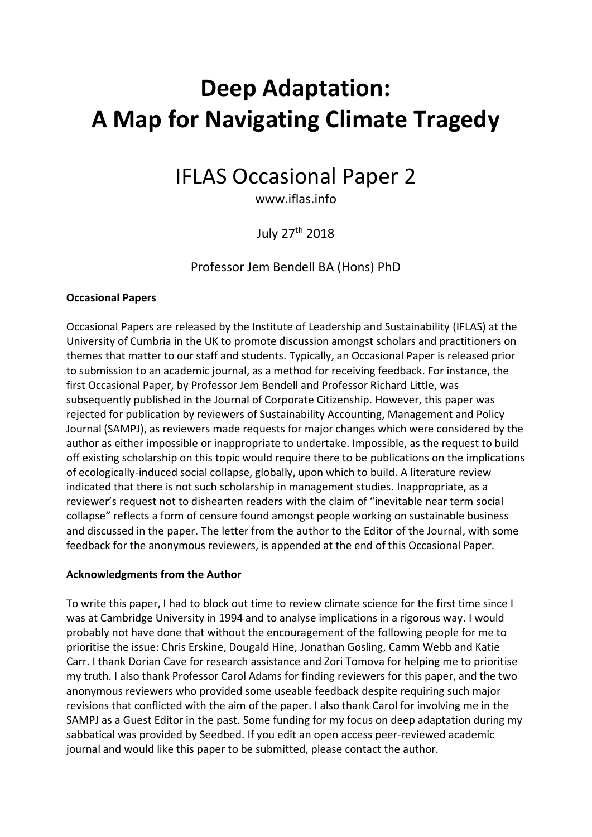# **Deep Adaptation: A Map for Navigating Climate Tragedy**

# IFLAS Occasional Paper 2

www.iflas.info

July 27<sup>th</sup> 2018

Professor Jem Bendell BA (Hons) PhD

# **Occasional Papers**

Occasional Papers are released by the Institute of Leadership and Sustainability (IFLAS) at the University of Cumbria in the UK to promote discussion amongst scholars and practitioners on themes that matter to our staff and students. Typically, an Occasional Paper is released prior to submission to an academic journal, as a method for receiving feedback. For instance, the first Occasional Paper, by Professor Jem Bendell and Professor Richard Little, was subsequently published in the Journal of Corporate Citizenship. However, this paper was rejected for publication by reviewers of Sustainability Accounting, Management and Policy Journal (SAMPJ), as reviewers made requests for major changes which were considered by the author as either impossible or inappropriate to undertake. Impossible, as the request to build off existing scholarship on this topic would require there to be publications on the implications of ecologically-induced social collapse, globally, upon which to build. A literature review indicated that there is not such scholarship in management studies. Inappropriate, as a reviewer's request not to dishearten readers with the claim of "inevitable near term social collapse" reflects a form of censure found amongst people working on sustainable business and discussed in the paper. The letter from the author to the Editor of the Journal, with some feedback for the anonymous reviewers, is appended at the end of this Occasional Paper.

# **Acknowledgments from the Author**

To write this paper, I had to block out time to review climate science for the first time since I was at Cambridge University in 1994 and to analyse implications in a rigorous way. I would probably not have done that without the encouragement of the following people for me to prioritise the issue: Chris Erskine, Dougald Hine, Jonathan Gosling, Camm Webb and Katie Carr. I thank Dorian Cave for research assistance and Zori Tomova for helping me to prioritise my truth. I also thank Professor Carol Adams for finding reviewers for this paper, and the two anonymous reviewers who provided some useable feedback despite requiring such major revisions that conflicted with the aim of the paper. I also thank Carol for involving me in the SAMPJ as a Guest Editor in the past. Some funding for my focus on deep adaptation during my sabbatical was provided by Seedbed. If you edit an open access peer-reviewed academic journal and would like this paper to be submitted, please contact the author.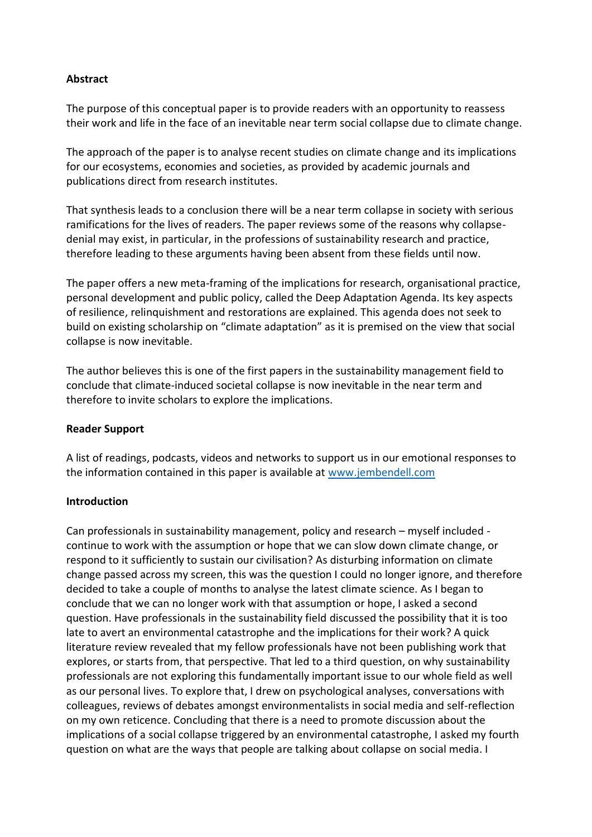#### **Abstract**

The purpose of this conceptual paper is to provide readers with an opportunity to reassess their work and life in the face of an inevitable near term social collapse due to climate change.

The approach of the paper is to analyse recent studies on climate change and its implications for our ecosystems, economies and societies, as provided by academic journals and publications direct from research institutes.

That synthesis leads to a conclusion there will be a near term collapse in society with serious ramifications for the lives of readers. The paper reviews some of the reasons why collapsedenial may exist, in particular, in the professions of sustainability research and practice, therefore leading to these arguments having been absent from these fields until now.

The paper offers a new meta-framing of the implications for research, organisational practice, personal development and public policy, called the Deep Adaptation Agenda. Its key aspects of resilience, relinquishment and restorations are explained. This agenda does not seek to build on existing scholarship on "climate adaptation" as it is premised on the view that social collapse is now inevitable.

The author believes this is one of the first papers in the sustainability management field to conclude that climate-induced societal collapse is now inevitable in the near term and therefore to invite scholars to explore the implications.

#### **Reader Support**

A list of readings, podcasts, videos and networks to support us in our emotional responses to the information contained in this paper is available at [www.jembendell.com](http://www.jembendell.com/)

#### **Introduction**

Can professionals in sustainability management, policy and research – myself included continue to work with the assumption or hope that we can slow down climate change, or respond to it sufficiently to sustain our civilisation? As disturbing information on climate change passed across my screen, this was the question I could no longer ignore, and therefore decided to take a couple of months to analyse the latest climate science. As I began to conclude that we can no longer work with that assumption or hope, I asked a second question. Have professionals in the sustainability field discussed the possibility that it is too late to avert an environmental catastrophe and the implications for their work? A quick literature review revealed that my fellow professionals have not been publishing work that explores, or starts from, that perspective. That led to a third question, on why sustainability professionals are not exploring this fundamentally important issue to our whole field as well as our personal lives. To explore that, I drew on psychological analyses, conversations with colleagues, reviews of debates amongst environmentalists in social media and self-reflection on my own reticence. Concluding that there is a need to promote discussion about the implications of a social collapse triggered by an environmental catastrophe, I asked my fourth question on what are the ways that people are talking about collapse on social media. I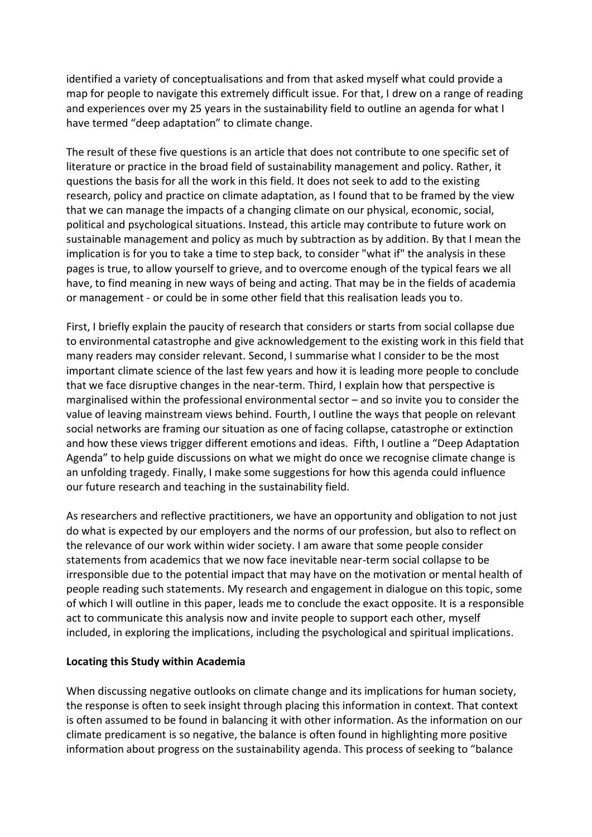identified a variety of conceptualisations and from that asked myself what could provide a map for people to navigate this extremely difficult issue. For that, I drew on a range of reading and experiences over my 25 years in the sustainability field to outline an agenda for what I have termed "deep adaptation" to climate change.

The result of these five questions is an article that does not contribute to one specific set of literature or practice in the broad field of sustainability management and policy. Rather, it questions the basis for all the work in this field. It does not seek to add to the existing research, policy and practice on climate adaptation, as I found that to be framed by the view that we can manage the impacts of a changing climate on our physical, economic, social, political and psychological situations. Instead, this article may contribute to future work on sustainable management and policy as much by subtraction as by addition. By that I mean the implication is for you to take a time to step back, to consider "what if" the analysis in these pages is true, to allow yourself to grieve, and to overcome enough of the typical fears we all have, to find meaning in new ways of being and acting. That may be in the fields of academia or management - or could be in some other field that this realisation leads you to.

First, I briefly explain the paucity of research that considers or starts from social collapse due to environmental catastrophe and give acknowledgement to the existing work in this field that many readers may consider relevant. Second, I summarise what I consider to be the most important climate science of the last few years and how it is leading more people to conclude that we face disruptive changes in the near-term. Third, I explain how that perspective is marginalised within the professional environmental sector – and so invite you to consider the value of leaving mainstream views behind. Fourth, I outline the ways that people on relevant social networks are framing our situation as one of facing collapse, catastrophe or extinction and how these views trigger different emotions and ideas. Fifth, I outline a "Deep Adaptation Agenda" to help guide discussions on what we might do once we recognise climate change is an unfolding tragedy. Finally, I make some suggestions for how this agenda could influence our future research and teaching in the sustainability field.

As researchers and reflective practitioners, we have an opportunity and obligation to not just do what is expected by our employers and the norms of our profession, but also to reflect on the relevance of our work within wider society. I am aware that some people consider statements from academics that we now face inevitable near-term social collapse to be irresponsible due to the potential impact that may have on the motivation or mental health of people reading such statements. My research and engagement in dialogue on this topic, some of which I will outline in this paper, leads me to conclude the exact opposite. It is a responsible act to communicate this analysis now and invite people to support each other, myself included, in exploring the implications, including the psychological and spiritual implications.

#### **Locating this Study within Academia**

When discussing negative outlooks on climate change and its implications for human society, the response is often to seek insight through placing this information in context. That context is often assumed to be found in balancing it with other information. As the information on our climate predicament is so negative, the balance is often found in highlighting more positive information about progress on the sustainability agenda. This process of seeking to "balance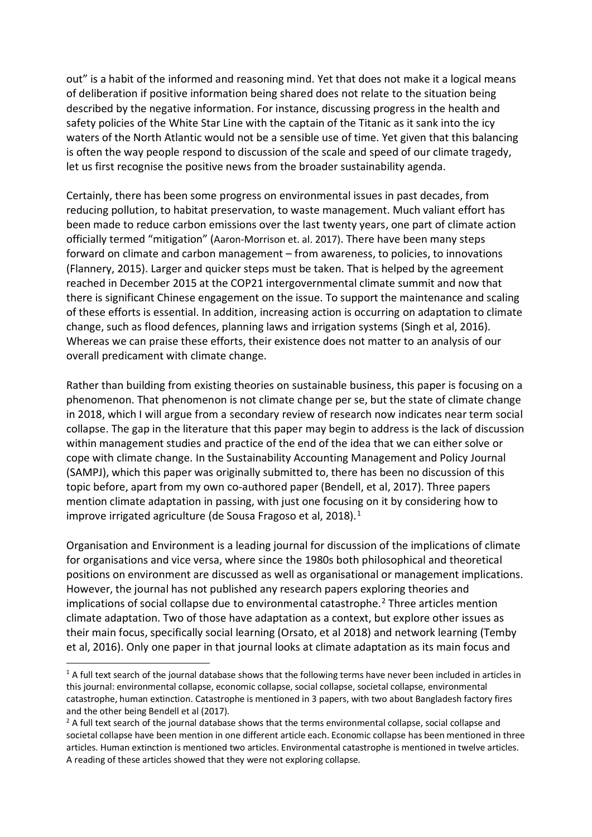out" is a habit of the informed and reasoning mind. Yet that does not make it a logical means of deliberation if positive information being shared does not relate to the situation being described by the negative information. For instance, discussing progress in the health and safety policies of the White Star Line with the captain of the Titanic as it sank into the icy waters of the North Atlantic would not be a sensible use of time. Yet given that this balancing is often the way people respond to discussion of the scale and speed of our climate tragedy, let us first recognise the positive news from the broader sustainability agenda.

Certainly, there has been some progress on environmental issues in past decades, from reducing pollution, to habitat preservation, to waste management. Much valiant effort has been made to reduce carbon emissions over the last twenty years, one part of climate action officially termed "mitigation" (Aaron-Morrison et. al. 2017). There have been many steps forward on climate and carbon management – from awareness, to policies, to innovations (Flannery, 2015). Larger and quicker steps must be taken. That is helped by the agreement reached in December 2015 at the COP21 intergovernmental climate summit and now that there is significant Chinese engagement on the issue. To support the maintenance and scaling of these efforts is essential. In addition, increasing action is occurring on adaptation to climate change, such as flood defences, planning laws and irrigation systems (Singh et al, 2016). Whereas we can praise these efforts, their existence does not matter to an analysis of our overall predicament with climate change.

Rather than building from existing theories on sustainable business, this paper is focusing on a phenomenon. That phenomenon is not climate change per se, but the state of climate change in 2018, which I will argue from a secondary review of research now indicates near term social collapse. The gap in the literature that this paper may begin to address is the lack of discussion within management studies and practice of the end of the idea that we can either solve or cope with climate change. In the Sustainability Accounting Management and Policy Journal (SAMPJ), which this paper was originally submitted to, there has been no discussion of this topic before, apart from my own co-authored paper (Bendell, et al, 2017). Three papers mention climate adaptation in passing, with just one focusing on it by considering how to improve irrigated agriculture (de Sousa Fragoso et al, 2018).<sup>1</sup>

Organisation and Environment is a leading journal for discussion of the implications of climate for organisations and vice versa, where since the 1980s both philosophical and theoretical positions on environment are discussed as well as organisational or management implications. However, the journal has not published any research papers exploring theories and implications of social collapse due to environmental catastrophe.<sup>2</sup> Three articles mention climate adaptation. Two of those have adaptation as a context, but explore other issues as their main focus, specifically social learning (Orsato, et al 2018) and network learning (Temby et al, 2016). Only one paper in that journal looks at climate adaptation as its main focus and

-

 $1$  A full text search of the journal database shows that the following terms have never been included in articles in this journal: environmental collapse, economic collapse, social collapse, societal collapse, environmental catastrophe, human extinction. Catastrophe is mentioned in 3 papers, with two about Bangladesh factory fires and the other being Bendell et al (2017).

<sup>&</sup>lt;sup>2</sup> A full text search of the journal database shows that the terms environmental collapse, social collapse and societal collapse have been mention in one different article each. Economic collapse has been mentioned in three articles. Human extinction is mentioned two articles. Environmental catastrophe is mentioned in twelve articles. A reading of these articles showed that they were not exploring collapse.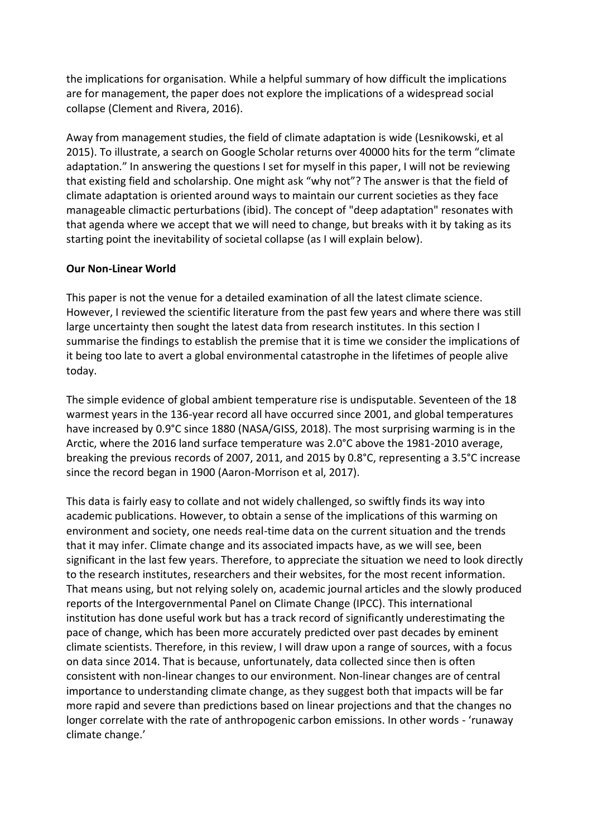the implications for organisation. While a helpful summary of how difficult the implications are for management, the paper does not explore the implications of a widespread social collapse (Clement and Rivera, 2016).

Away from management studies, the field of climate adaptation is wide (Lesnikowski, et al 2015). To illustrate, a search on Google Scholar returns over 40000 hits for the term "climate adaptation." In answering the questions I set for myself in this paper, I will not be reviewing that existing field and scholarship. One might ask "why not"? The answer is that the field of climate adaptation is oriented around ways to maintain our current societies as they face manageable climactic perturbations (ibid). The concept of "deep adaptation" resonates with that agenda where we accept that we will need to change, but breaks with it by taking as its starting point the inevitability of societal collapse (as I will explain below).

#### **Our Non-Linear World**

This paper is not the venue for a detailed examination of all the latest climate science. However, I reviewed the scientific literature from the past few years and where there was still large uncertainty then sought the latest data from research institutes. In this section I summarise the findings to establish the premise that it is time we consider the implications of it being too late to avert a global environmental catastrophe in the lifetimes of people alive today.

The simple evidence of global ambient temperature rise is undisputable. Seventeen of the 18 warmest years in the 136-year record all have occurred since 2001, and global temperatures have increased by 0.9°C since 1880 (NASA/GISS, 2018). The most surprising warming is in the Arctic, where the 2016 land surface temperature was 2.0°C above the 1981-2010 average, breaking the previous records of 2007, 2011, and 2015 by 0.8°C, representing a 3.5°C increase since the record began in 1900 (Aaron-Morrison et al, 2017).

This data is fairly easy to collate and not widely challenged, so swiftly finds its way into academic publications. However, to obtain a sense of the implications of this warming on environment and society, one needs real-time data on the current situation and the trends that it may infer. Climate change and its associated impacts have, as we will see, been significant in the last few years. Therefore, to appreciate the situation we need to look directly to the research institutes, researchers and their websites, for the most recent information. That means using, but not relying solely on, academic journal articles and the slowly produced reports of the Intergovernmental Panel on Climate Change (IPCC). This international institution has done useful work but has a track record of significantly underestimating the pace of change, which has been more accurately predicted over past decades by eminent climate scientists. Therefore, in this review, I will draw upon a range of sources, with a focus on data since 2014. That is because, unfortunately, data collected since then is often consistent with non-linear changes to our environment. Non-linear changes are of central importance to understanding climate change, as they suggest both that impacts will be far more rapid and severe than predictions based on linear projections and that the changes no longer correlate with the rate of anthropogenic carbon emissions. In other words - 'runaway climate change.'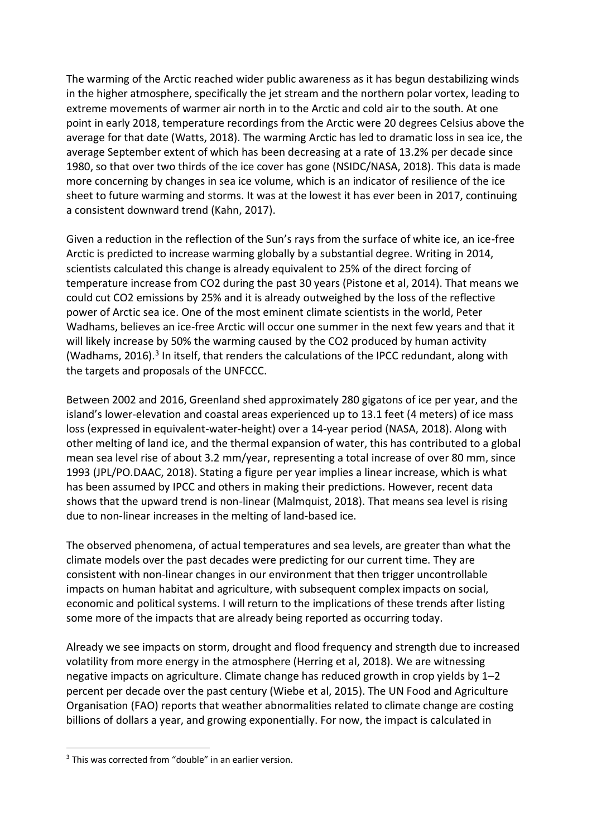The warming of the Arctic reached wider public awareness as it has begun destabilizing winds in the higher atmosphere, specifically the jet stream and the northern polar vortex, leading to extreme movements of warmer air north in to the Arctic and cold air to the south. At one point in early 2018, temperature recordings from the Arctic were 20 degrees Celsius above the average for that date (Watts, 2018). The warming Arctic has led to dramatic loss in sea ice, the average September extent of which has been decreasing at a rate of 13.2% per decade since 1980, so that over two thirds of the ice cover has gone (NSIDC/NASA, 2018). This data is made more concerning by changes in sea ice volume, which is an indicator of resilience of the ice sheet to future warming and storms. It was at the lowest it has ever been in 2017, continuing a consistent downward trend (Kahn, 2017).

Given a reduction in the reflection of the Sun's rays from the surface of white ice, an ice-free Arctic is predicted to increase warming globally by a substantial degree. Writing in 2014, scientists calculated this change is already equivalent to 25% of the direct forcing of temperature increase from CO2 during the past 30 years (Pistone et al, 2014). That means we could cut CO2 emissions by 25% and it is already outweighed by the loss of the reflective power of Arctic sea ice. One of the most eminent climate scientists in the world, Peter Wadhams, believes an ice-free Arctic will occur one summer in the next few years and that it will likely increase by 50% the warming caused by the CO2 produced by human activity (Wadhams, 2016).<sup>3</sup> In itself, that renders the calculations of the IPCC redundant, along with the targets and proposals of the UNFCCC.

Between 2002 and 2016, Greenland shed approximately 280 gigatons of ice per year, and the island's lower-elevation and coastal areas experienced up to 13.1 feet (4 meters) of ice mass loss (expressed in equivalent-water-height) over a 14-year period (NASA, 2018). Along with other melting of land ice, and the thermal expansion of water, this has contributed to a global mean sea level rise of about 3.2 mm/year, representing a total increase of over 80 mm, since 1993 (JPL/PO.DAAC, 2018). Stating a figure per year implies a linear increase, which is what has been assumed by IPCC and others in making their predictions. However, recent data shows that the upward trend is non-linear (Malmquist, 2018). That means sea level is rising due to non-linear increases in the melting of land-based ice.

The observed phenomena, of actual temperatures and sea levels, are greater than what the climate models over the past decades were predicting for our current time. They are consistent with non-linear changes in our environment that then trigger uncontrollable impacts on human habitat and agriculture, with subsequent complex impacts on social, economic and political systems. I will return to the implications of these trends after listing some more of the impacts that are already being reported as occurring today.

Already we see impacts on storm, drought and flood frequency and strength due to increased volatility from more energy in the atmosphere (Herring et al, 2018). We are witnessing negative impacts on agriculture. Climate change has reduced growth in crop yields by 1–2 percent per decade over the past century (Wiebe et al, 2015). The UN Food and Agriculture Organisation (FAO) reports that weather abnormalities related to climate change are costing billions of dollars a year, and growing exponentially. For now, the impact is calculated in

-

<sup>&</sup>lt;sup>3</sup> This was corrected from "double" in an earlier version.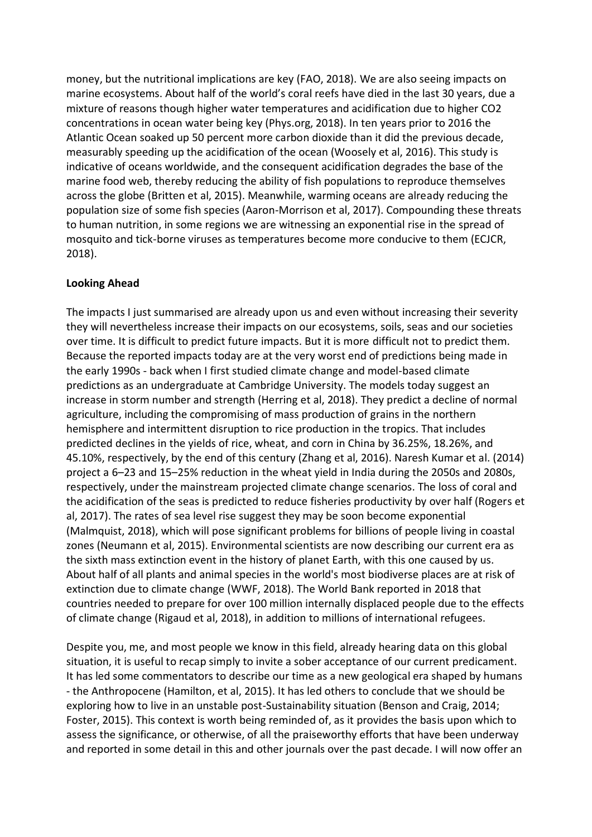money, but the nutritional implications are key (FAO, 2018). We are also seeing impacts on marine ecosystems. About half of the world's coral reefs have died in the last 30 years, due a mixture of reasons though higher water temperatures and acidification due to higher CO2 concentrations in ocean water being key (Phys.org, 2018). In ten years prior to 2016 the Atlantic Ocean soaked up 50 percent more carbon dioxide than it did the previous decade, measurably speeding up the acidification of the ocean (Woosely et al, 2016). This study is indicative of oceans worldwide, and the consequent acidification degrades the base of the marine food web, thereby reducing the ability of fish populations to reproduce themselves across the globe (Britten et al, 2015). Meanwhile, warming oceans are already reducing the population size of some fish species (Aaron-Morrison et al, 2017). Compounding these threats to human nutrition, in some regions we are witnessing an exponential rise in the spread of mosquito and tick-borne viruses as temperatures become more conducive to them (ECJCR, 2018).

#### **Looking Ahead**

The impacts I just summarised are already upon us and even without increasing their severity they will nevertheless increase their impacts on our ecosystems, soils, seas and our societies over time. It is difficult to predict future impacts. But it is more difficult not to predict them. Because the reported impacts today are at the very worst end of predictions being made in the early 1990s - back when I first studied climate change and model-based climate predictions as an undergraduate at Cambridge University. The models today suggest an increase in storm number and strength (Herring et al, 2018). They predict a decline of normal agriculture, including the compromising of mass production of grains in the northern hemisphere and intermittent disruption to rice production in the tropics. That includes predicted declines in the yields of rice, wheat, and corn in China by 36.25%, 18.26%, and 45.10%, respectively, by the end of this century (Zhang et al, 2016). Naresh Kumar et al. (2014) project a 6–23 and 15–25% reduction in the wheat yield in India during the 2050s and 2080s, respectively, under the mainstream projected climate change scenarios. The loss of coral and the acidification of the seas is predicted to reduce fisheries productivity by over half (Rogers et al, 2017). The rates of sea level rise suggest they may be soon become exponential (Malmquist, 2018), which will pose significant problems for billions of people living in coastal zones (Neumann et al, 2015). Environmental scientists are now describing our current era as the sixth mass extinction event in the history of planet Earth, with this one caused by us. About half of all plants and animal species in the world's most biodiverse places are at risk of extinction due to climate change (WWF, 2018). The World Bank reported in 2018 that countries needed to prepare for over 100 million internally displaced people due to the effects of climate change (Rigaud et al, 2018), in addition to millions of international refugees.

Despite you, me, and most people we know in this field, already hearing data on this global situation, it is useful to recap simply to invite a sober acceptance of our current predicament. It has led some commentators to describe our time as a new geological era shaped by humans - the Anthropocene (Hamilton, et al, 2015). It has led others to conclude that we should be exploring how to live in an unstable post-Sustainability situation (Benson and Craig, 2014; Foster, 2015). This context is worth being reminded of, as it provides the basis upon which to assess the significance, or otherwise, of all the praiseworthy efforts that have been underway and reported in some detail in this and other journals over the past decade. I will now offer an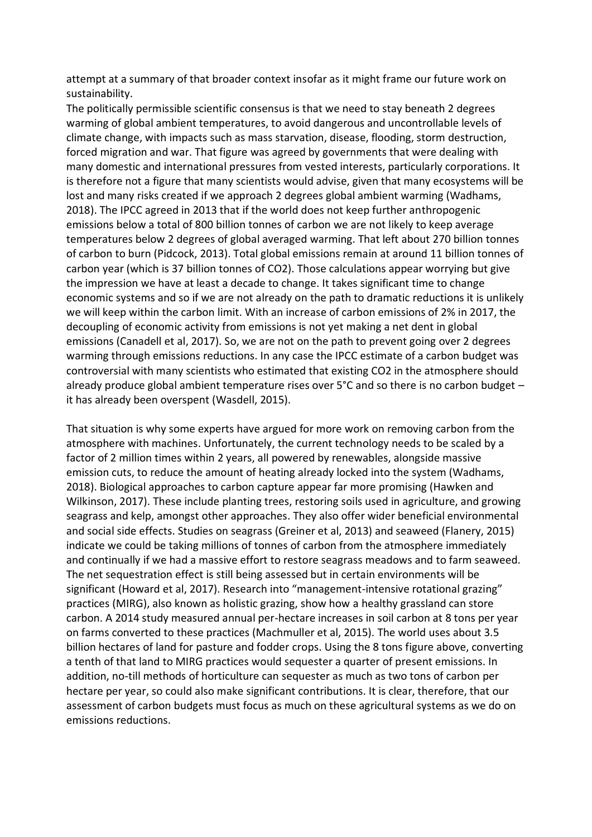attempt at a summary of that broader context insofar as it might frame our future work on sustainability.

The politically permissible scientific consensus is that we need to stay beneath 2 degrees warming of global ambient temperatures, to avoid dangerous and uncontrollable levels of climate change, with impacts such as mass starvation, disease, flooding, storm destruction, forced migration and war. That figure was agreed by governments that were dealing with many domestic and international pressures from vested interests, particularly corporations. It is therefore not a figure that many scientists would advise, given that many ecosystems will be lost and many risks created if we approach 2 degrees global ambient warming (Wadhams, 2018). The IPCC agreed in 2013 that if the world does not keep further anthropogenic emissions below a total of 800 billion tonnes of carbon we are not likely to keep average temperatures below 2 degrees of global averaged warming. That left about 270 billion tonnes of carbon to burn (Pidcock, 2013). Total global emissions remain at around 11 billion tonnes of carbon year (which is 37 billion tonnes of CO2). Those calculations appear worrying but give the impression we have at least a decade to change. It takes significant time to change economic systems and so if we are not already on the path to dramatic reductions it is unlikely we will keep within the carbon limit. With an increase of carbon emissions of 2% in 2017, the decoupling of economic activity from emissions is not yet making a net dent in global emissions (Canadell et al, 2017). So, we are not on the path to prevent going over 2 degrees warming through emissions reductions. In any case the IPCC estimate of a carbon budget was controversial with many scientists who estimated that existing CO2 in the atmosphere should already produce global ambient temperature rises over 5°C and so there is no carbon budget it has already been overspent (Wasdell, 2015).

That situation is why some experts have argued for more work on removing carbon from the atmosphere with machines. Unfortunately, the current technology needs to be scaled by a factor of 2 million times within 2 years, all powered by renewables, alongside massive emission cuts, to reduce the amount of heating already locked into the system (Wadhams, 2018). Biological approaches to carbon capture appear far more promising (Hawken and Wilkinson, 2017). These include planting trees, restoring soils used in agriculture, and growing seagrass and kelp, amongst other approaches. They also offer wider beneficial environmental and social side effects. Studies on seagrass (Greiner et al, 2013) and seaweed (Flanery, 2015) indicate we could be taking millions of tonnes of carbon from the atmosphere immediately and continually if we had a massive effort to restore seagrass meadows and to farm seaweed. The net sequestration effect is still being assessed but in certain environments will be significant (Howard et al, 2017). Research into "management-intensive rotational grazing" practices (MIRG), also known as holistic grazing, show how a healthy grassland can store carbon. A 2014 study measured annual per-hectare increases in soil carbon at 8 tons per year on farms converted to these practices (Machmuller et al, 2015). The world uses about 3.5 billion hectares of land for pasture and fodder crops. Using the 8 tons figure above, converting a tenth of that land to MIRG practices would sequester a quarter of present emissions. In addition, no-till methods of horticulture can sequester as much as two tons of carbon per hectare per year, so could also make significant contributions. It is clear, therefore, that our assessment of carbon budgets must focus as much on these agricultural systems as we do on emissions reductions.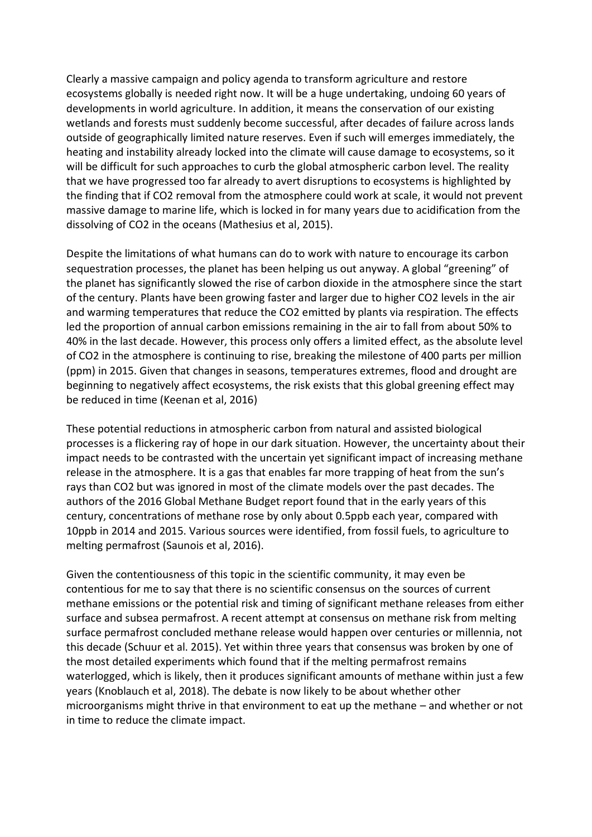Clearly a massive campaign and policy agenda to transform agriculture and restore ecosystems globally is needed right now. It will be a huge undertaking, undoing 60 years of developments in world agriculture. In addition, it means the conservation of our existing wetlands and forests must suddenly become successful, after decades of failure across lands outside of geographically limited nature reserves. Even if such will emerges immediately, the heating and instability already locked into the climate will cause damage to ecosystems, so it will be difficult for such approaches to curb the global atmospheric carbon level. The reality that we have progressed too far already to avert disruptions to ecosystems is highlighted by the finding that if CO2 removal from the atmosphere could work at scale, it would not prevent massive damage to marine life, which is locked in for many years due to acidification from the dissolving of CO2 in the oceans (Mathesius et al, 2015).

Despite the limitations of what humans can do to work with nature to encourage its carbon sequestration processes, the planet has been helping us out anyway. A global "greening" of the planet has significantly slowed the rise of carbon dioxide in the atmosphere since the start of the century. Plants have been growing faster and larger due to higher CO2 levels in the air and warming temperatures that reduce the CO2 emitted by plants via respiration. The effects led the proportion of annual carbon emissions remaining in the air to fall from about 50% to 40% in the last decade. However, this process only offers a limited effect, as the absolute level of CO2 in the atmosphere is continuing to rise, breaking the milestone of 400 parts per million (ppm) in 2015. Given that changes in seasons, temperatures extremes, flood and drought are beginning to negatively affect ecosystems, the risk exists that this global greening effect may be reduced in time (Keenan et al, 2016)

These potential reductions in atmospheric carbon from natural and assisted biological processes is a flickering ray of hope in our dark situation. However, the uncertainty about their impact needs to be contrasted with the uncertain yet significant impact of increasing methane release in the atmosphere. It is a gas that enables far more trapping of heat from the sun's rays than CO2 but was ignored in most of the climate models over the past decades. The authors of the 2016 Global Methane Budget report found that in the early years of this century, concentrations of methane rose by only about 0.5ppb each year, compared with 10ppb in 2014 and 2015. Various sources were identified, from fossil fuels, to agriculture to melting permafrost (Saunois et al, 2016).

Given the contentiousness of this topic in the scientific community, it may even be contentious for me to say that there is no scientific consensus on the sources of current methane emissions or the potential risk and timing of significant methane releases from either surface and subsea permafrost. A recent attempt at consensus on methane risk from melting surface permafrost concluded methane release would happen over centuries or millennia, not this decade (Schuur et al. 2015). Yet within three years that consensus was broken by one of the most detailed experiments which found that if the melting permafrost remains waterlogged, which is likely, then it produces significant amounts of methane within just a few years (Knoblauch et al, 2018). The debate is now likely to be about whether other microorganisms might thrive in that environment to eat up the methane – and whether or not in time to reduce the climate impact.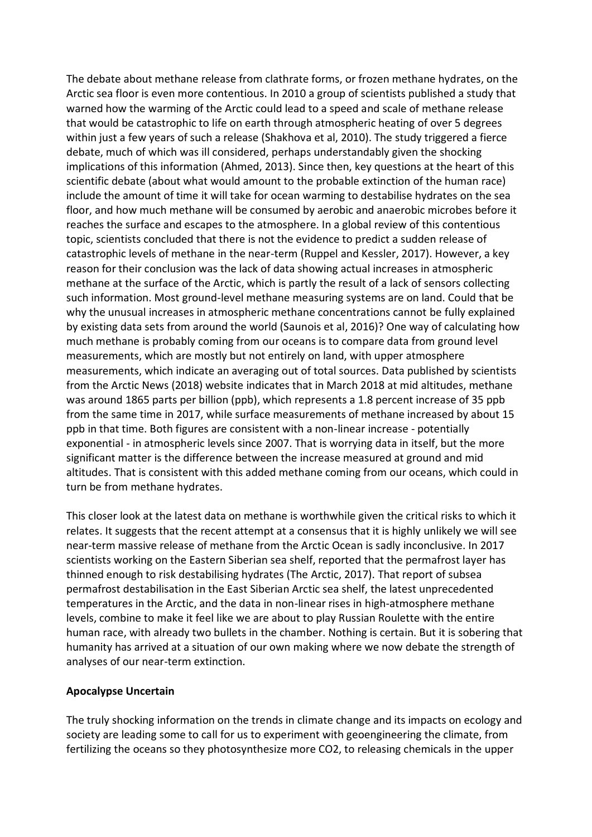The debate about methane release from clathrate forms, or frozen methane hydrates, on the Arctic sea floor is even more contentious. In 2010 a group of scientists published a study that warned how the warming of the Arctic could lead to a speed and scale of methane release that would be catastrophic to life on earth through atmospheric heating of over 5 degrees within just a few years of such a release (Shakhova et al, 2010). The study triggered a fierce debate, much of which was ill considered, perhaps understandably given the shocking implications of this information (Ahmed, 2013). Since then, key questions at the heart of this scientific debate (about what would amount to the probable extinction of the human race) include the amount of time it will take for ocean warming to destabilise hydrates on the sea floor, and how much methane will be consumed by aerobic and anaerobic microbes before it reaches the surface and escapes to the atmosphere. In a global review of this contentious topic, scientists concluded that there is not the evidence to predict a sudden release of catastrophic levels of methane in the near-term (Ruppel and Kessler, 2017). However, a key reason for their conclusion was the lack of data showing actual increases in atmospheric methane at the surface of the Arctic, which is partly the result of a lack of sensors collecting such information. Most ground-level methane measuring systems are on land. Could that be why the unusual increases in atmospheric methane concentrations cannot be fully explained by existing data sets from around the world (Saunois et al, 2016)? One way of calculating how much methane is probably coming from our oceans is to compare data from ground level measurements, which are mostly but not entirely on land, with upper atmosphere measurements, which indicate an averaging out of total sources. Data published by scientists from the Arctic News (2018) website indicates that in March 2018 at mid altitudes, methane was around 1865 parts per billion (ppb), which represents a 1.8 percent increase of 35 ppb from the same time in 2017, while surface measurements of methane increased by about 15 ppb in that time. Both figures are consistent with a non-linear increase - potentially exponential - in atmospheric levels since 2007. That is worrying data in itself, but the more significant matter is the difference between the increase measured at ground and mid altitudes. That is consistent with this added methane coming from our oceans, which could in turn be from methane hydrates.

This closer look at the latest data on methane is worthwhile given the critical risks to which it relates. It suggests that the recent attempt at a consensus that it is highly unlikely we will see near-term massive release of methane from the Arctic Ocean is sadly inconclusive. In 2017 scientists working on the Eastern Siberian sea shelf, reported that the permafrost layer has thinned enough to risk destabilising hydrates (The Arctic, 2017). That report of subsea permafrost destabilisation in the East Siberian Arctic sea shelf, the latest unprecedented temperatures in the Arctic, and the data in non-linear rises in high-atmosphere methane levels, combine to make it feel like we are about to play Russian Roulette with the entire human race, with already two bullets in the chamber. Nothing is certain. But it is sobering that humanity has arrived at a situation of our own making where we now debate the strength of analyses of our near-term extinction.

#### **Apocalypse Uncertain**

The truly shocking information on the trends in climate change and its impacts on ecology and society are leading some to call for us to experiment with geoengineering the climate, from fertilizing the oceans so they photosynthesize more CO2, to releasing chemicals in the upper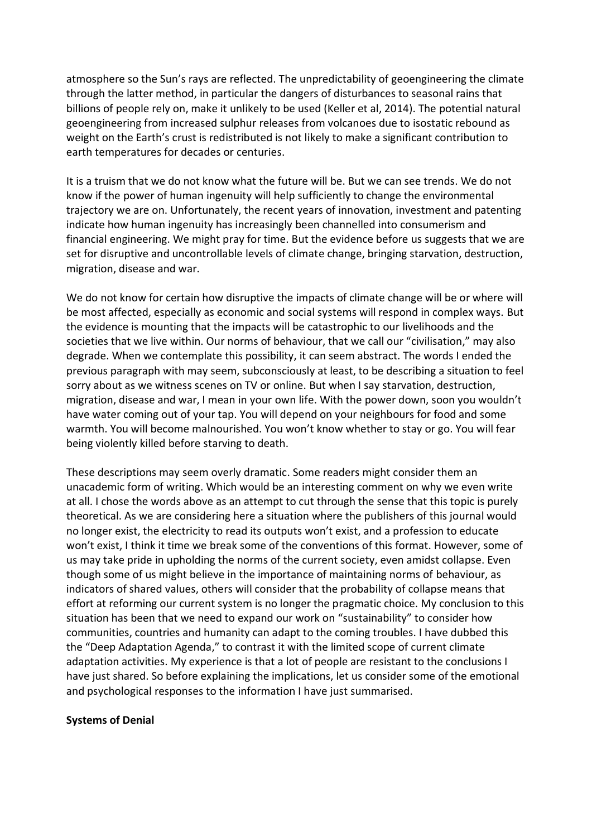atmosphere so the Sun's rays are reflected. The unpredictability of geoengineering the climate through the latter method, in particular the dangers of disturbances to seasonal rains that billions of people rely on, make it unlikely to be used (Keller et al, 2014). The potential natural geoengineering from increased sulphur releases from volcanoes due to isostatic rebound as weight on the Earth's crust is redistributed is not likely to make a significant contribution to earth temperatures for decades or centuries.

It is a truism that we do not know what the future will be. But we can see trends. We do not know if the power of human ingenuity will help sufficiently to change the environmental trajectory we are on. Unfortunately, the recent years of innovation, investment and patenting indicate how human ingenuity has increasingly been channelled into consumerism and financial engineering. We might pray for time. But the evidence before us suggests that we are set for disruptive and uncontrollable levels of climate change, bringing starvation, destruction, migration, disease and war.

We do not know for certain how disruptive the impacts of climate change will be or where will be most affected, especially as economic and social systems will respond in complex ways. But the evidence is mounting that the impacts will be catastrophic to our livelihoods and the societies that we live within. Our norms of behaviour, that we call our "civilisation," may also degrade. When we contemplate this possibility, it can seem abstract. The words I ended the previous paragraph with may seem, subconsciously at least, to be describing a situation to feel sorry about as we witness scenes on TV or online. But when I say starvation, destruction, migration, disease and war, I mean in your own life. With the power down, soon you wouldn't have water coming out of your tap. You will depend on your neighbours for food and some warmth. You will become malnourished. You won't know whether to stay or go. You will fear being violently killed before starving to death.

These descriptions may seem overly dramatic. Some readers might consider them an unacademic form of writing. Which would be an interesting comment on why we even write at all. I chose the words above as an attempt to cut through the sense that this topic is purely theoretical. As we are considering here a situation where the publishers of this journal would no longer exist, the electricity to read its outputs won't exist, and a profession to educate won't exist, I think it time we break some of the conventions of this format. However, some of us may take pride in upholding the norms of the current society, even amidst collapse. Even though some of us might believe in the importance of maintaining norms of behaviour, as indicators of shared values, others will consider that the probability of collapse means that effort at reforming our current system is no longer the pragmatic choice. My conclusion to this situation has been that we need to expand our work on "sustainability" to consider how communities, countries and humanity can adapt to the coming troubles. I have dubbed this the "Deep Adaptation Agenda," to contrast it with the limited scope of current climate adaptation activities. My experience is that a lot of people are resistant to the conclusions I have just shared. So before explaining the implications, let us consider some of the emotional and psychological responses to the information I have just summarised.

#### **Systems of Denial**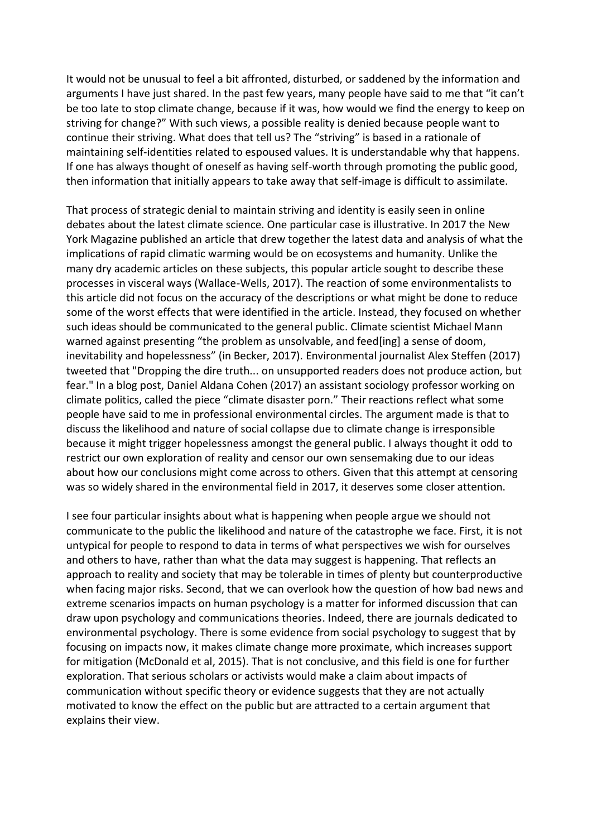It would not be unusual to feel a bit affronted, disturbed, or saddened by the information and arguments I have just shared. In the past few years, many people have said to me that "it can't be too late to stop climate change, because if it was, how would we find the energy to keep on striving for change?" With such views, a possible reality is denied because people want to continue their striving. What does that tell us? The "striving" is based in a rationale of maintaining self-identities related to espoused values. It is understandable why that happens. If one has always thought of oneself as having self-worth through promoting the public good, then information that initially appears to take away that self-image is difficult to assimilate.

That process of strategic denial to maintain striving and identity is easily seen in online debates about the latest climate science. One particular case is illustrative. In 2017 the New York Magazine published an article that drew together the latest data and analysis of what the implications of rapid climatic warming would be on ecosystems and humanity. Unlike the many dry academic articles on these subjects, this popular article sought to describe these processes in visceral ways (Wallace-Wells, 2017). The reaction of some environmentalists to this article did not focus on the accuracy of the descriptions or what might be done to reduce some of the worst effects that were identified in the article. Instead, they focused on whether such ideas should be communicated to the general public. Climate scientist Michael Mann warned against presenting "the problem as unsolvable, and feed[ing] a sense of doom, inevitability and hopelessness" (in Becker, 2017). Environmental journalist Alex Steffen (2017) tweeted that "Dropping the dire truth... on unsupported readers does not produce action, but fear." In a blog post, Daniel Aldana Cohen (2017) an assistant sociology professor working on climate politics, called the piece "climate disaster porn." Their reactions reflect what some people have said to me in professional environmental circles. The argument made is that to discuss the likelihood and nature of social collapse due to climate change is irresponsible because it might trigger hopelessness amongst the general public. I always thought it odd to restrict our own exploration of reality and censor our own sensemaking due to our ideas about how our conclusions might come across to others. Given that this attempt at censoring was so widely shared in the environmental field in 2017, it deserves some closer attention.

I see four particular insights about what is happening when people argue we should not communicate to the public the likelihood and nature of the catastrophe we face. First, it is not untypical for people to respond to data in terms of what perspectives we wish for ourselves and others to have, rather than what the data may suggest is happening. That reflects an approach to reality and society that may be tolerable in times of plenty but counterproductive when facing major risks. Second, that we can overlook how the question of how bad news and extreme scenarios impacts on human psychology is a matter for informed discussion that can draw upon psychology and communications theories. Indeed, there are journals dedicated to environmental psychology. There is some evidence from social psychology to suggest that by focusing on impacts now, it makes climate change more proximate, which increases support for mitigation (McDonald et al, 2015). That is not conclusive, and this field is one for further exploration. That serious scholars or activists would make a claim about impacts of communication without specific theory or evidence suggests that they are not actually motivated to know the effect on the public but are attracted to a certain argument that explains their view.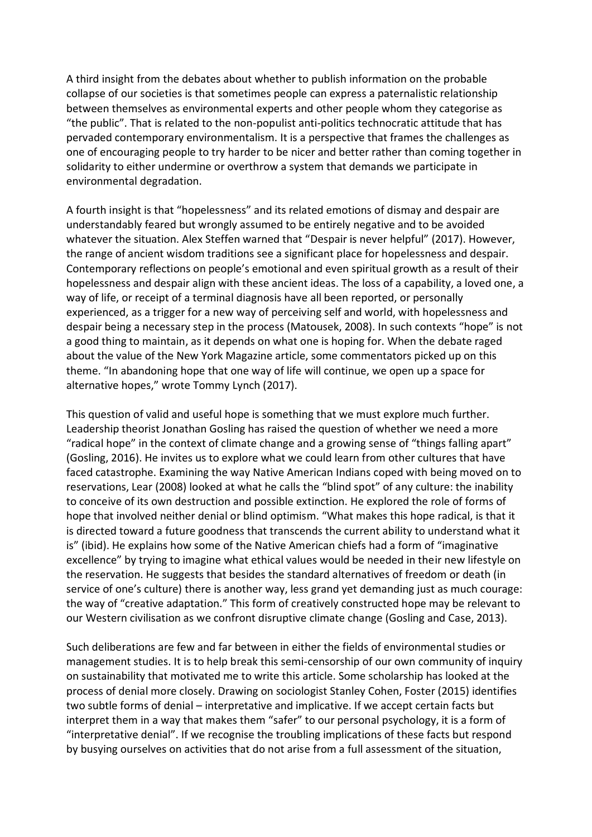A third insight from the debates about whether to publish information on the probable collapse of our societies is that sometimes people can express a paternalistic relationship between themselves as environmental experts and other people whom they categorise as "the public". That is related to the non-populist anti-politics technocratic attitude that has pervaded contemporary environmentalism. It is a perspective that frames the challenges as one of encouraging people to try harder to be nicer and better rather than coming together in solidarity to either undermine or overthrow a system that demands we participate in environmental degradation.

A fourth insight is that "hopelessness" and its related emotions of dismay and despair are understandably feared but wrongly assumed to be entirely negative and to be avoided whatever the situation. Alex Steffen warned that "Despair is never helpful" (2017). However, the range of ancient wisdom traditions see a significant place for hopelessness and despair. Contemporary reflections on people's emotional and even spiritual growth as a result of their hopelessness and despair align with these ancient ideas. The loss of a capability, a loved one, a way of life, or receipt of a terminal diagnosis have all been reported, or personally experienced, as a trigger for a new way of perceiving self and world, with hopelessness and despair being a necessary step in the process (Matousek, 2008). In such contexts "hope" is not a good thing to maintain, as it depends on what one is hoping for. When the debate raged about the value of the New York Magazine article, some commentators picked up on this theme. "In abandoning hope that one way of life will continue, we open up a space for alternative hopes," wrote Tommy Lynch (2017).

This question of valid and useful hope is something that we must explore much further. Leadership theorist Jonathan Gosling has raised the question of whether we need a more "radical hope" in the context of climate change and a growing sense of "things falling apart" (Gosling, 2016). He invites us to explore what we could learn from other cultures that have faced catastrophe. Examining the way Native American Indians coped with being moved on to reservations, Lear (2008) looked at what he calls the "blind spot" of any culture: the inability to conceive of its own destruction and possible extinction. He explored the role of forms of hope that involved neither denial or blind optimism. "What makes this hope radical, is that it is directed toward a future goodness that transcends the current ability to understand what it is" (ibid). He explains how some of the Native American chiefs had a form of "imaginative excellence" by trying to imagine what ethical values would be needed in their new lifestyle on the reservation. He suggests that besides the standard alternatives of freedom or death (in service of one's culture) there is another way, less grand yet demanding just as much courage: the way of "creative adaptation." This form of creatively constructed hope may be relevant to our Western civilisation as we confront disruptive climate change (Gosling and Case, 2013).

Such deliberations are few and far between in either the fields of environmental studies or management studies. It is to help break this semi-censorship of our own community of inquiry on sustainability that motivated me to write this article. Some scholarship has looked at the process of denial more closely. Drawing on sociologist Stanley Cohen, Foster (2015) identifies two subtle forms of denial – interpretative and implicative. If we accept certain facts but interpret them in a way that makes them "safer" to our personal psychology, it is a form of "interpretative denial". If we recognise the troubling implications of these facts but respond by busying ourselves on activities that do not arise from a full assessment of the situation,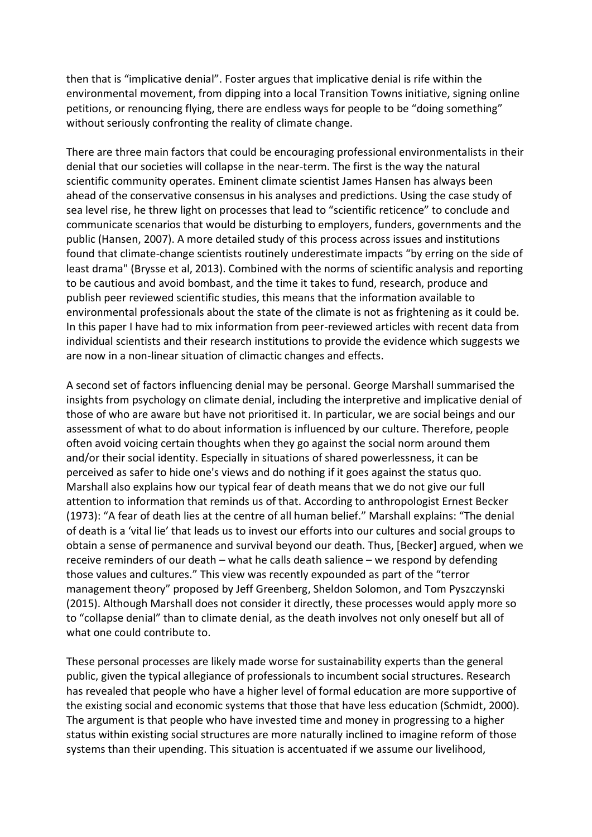then that is "implicative denial". Foster argues that implicative denial is rife within the environmental movement, from dipping into a local Transition Towns initiative, signing online petitions, or renouncing flying, there are endless ways for people to be "doing something" without seriously confronting the reality of climate change.

There are three main factors that could be encouraging professional environmentalists in their denial that our societies will collapse in the near-term. The first is the way the natural scientific community operates. Eminent climate scientist James Hansen has always been ahead of the conservative consensus in his analyses and predictions. Using the case study of sea level rise, he threw light on processes that lead to "scientific reticence" to conclude and communicate scenarios that would be disturbing to employers, funders, governments and the public (Hansen, 2007). A more detailed study of this process across issues and institutions found that climate-change scientists routinely underestimate impacts "by erring on the side of least drama" (Brysse et al, 2013). Combined with the norms of scientific analysis and reporting to be cautious and avoid bombast, and the time it takes to fund, research, produce and publish peer reviewed scientific studies, this means that the information available to environmental professionals about the state of the climate is not as frightening as it could be. In this paper I have had to mix information from peer-reviewed articles with recent data from individual scientists and their research institutions to provide the evidence which suggests we are now in a non-linear situation of climactic changes and effects.

A second set of factors influencing denial may be personal. George Marshall summarised the insights from psychology on climate denial, including the interpretive and implicative denial of those of who are aware but have not prioritised it. In particular, we are social beings and our assessment of what to do about information is influenced by our culture. Therefore, people often avoid voicing certain thoughts when they go against the social norm around them and/or their social identity. Especially in situations of shared powerlessness, it can be perceived as safer to hide one's views and do nothing if it goes against the status quo. Marshall also explains how our typical fear of death means that we do not give our full attention to information that reminds us of that. According to anthropologist Ernest Becker (1973): "A fear of death lies at the centre of all human belief." Marshall explains: "The denial of death is a 'vital lie' that leads us to invest our efforts into our cultures and social groups to obtain a sense of permanence and survival beyond our death. Thus, [Becker] argued, when we receive reminders of our death – what he calls death salience – we respond by defending those values and cultures." This view was recently expounded as part of the "terror management theory" proposed by Jeff Greenberg, Sheldon Solomon, and Tom Pyszczynski (2015). Although Marshall does not consider it directly, these processes would apply more so to "collapse denial" than to climate denial, as the death involves not only oneself but all of what one could contribute to.

These personal processes are likely made worse for sustainability experts than the general public, given the typical allegiance of professionals to incumbent social structures. Research has revealed that people who have a higher level of formal education are more supportive of the existing social and economic systems that those that have less education (Schmidt, 2000). The argument is that people who have invested time and money in progressing to a higher status within existing social structures are more naturally inclined to imagine reform of those systems than their upending. This situation is accentuated if we assume our livelihood,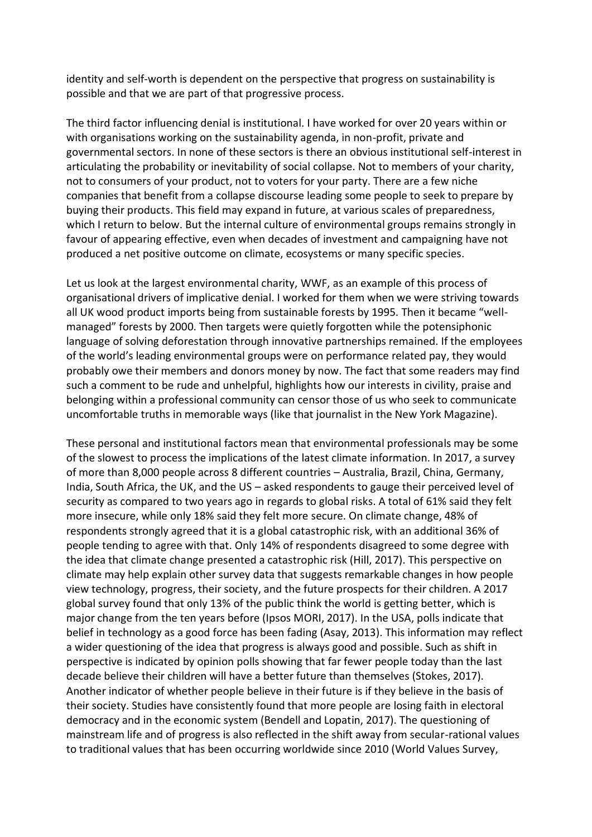identity and self-worth is dependent on the perspective that progress on sustainability is possible and that we are part of that progressive process.

The third factor influencing denial is institutional. I have worked for over 20 years within or with organisations working on the sustainability agenda, in non-profit, private and governmental sectors. In none of these sectors is there an obvious institutional self-interest in articulating the probability or inevitability of social collapse. Not to members of your charity, not to consumers of your product, not to voters for your party. There are a few niche companies that benefit from a collapse discourse leading some people to seek to prepare by buying their products. This field may expand in future, at various scales of preparedness, which I return to below. But the internal culture of environmental groups remains strongly in favour of appearing effective, even when decades of investment and campaigning have not produced a net positive outcome on climate, ecosystems or many specific species.

Let us look at the largest environmental charity, WWF, as an example of this process of organisational drivers of implicative denial. I worked for them when we were striving towards all UK wood product imports being from sustainable forests by 1995. Then it became "wellmanaged" forests by 2000. Then targets were quietly forgotten while the potensiphonic language of solving deforestation through innovative partnerships remained. If the employees of the world's leading environmental groups were on performance related pay, they would probably owe their members and donors money by now. The fact that some readers may find such a comment to be rude and unhelpful, highlights how our interests in civility, praise and belonging within a professional community can censor those of us who seek to communicate uncomfortable truths in memorable ways (like that journalist in the New York Magazine).

These personal and institutional factors mean that environmental professionals may be some of the slowest to process the implications of the latest climate information. In 2017, a survey of more than 8,000 people across 8 different countries – Australia, Brazil, China, Germany, India, South Africa, the UK, and the US – asked respondents to gauge their perceived level of security as compared to two years ago in regards to global risks. A total of 61% said they felt more insecure, while only 18% said they felt more secure. On climate change, 48% of respondents strongly agreed that it is a global catastrophic risk, with an additional 36% of people tending to agree with that. Only 14% of respondents disagreed to some degree with the idea that climate change presented a catastrophic risk (Hill, 2017). This perspective on climate may help explain other survey data that suggests remarkable changes in how people view technology, progress, their society, and the future prospects for their children. A 2017 global survey found that only 13% of the public think the world is getting better, which is major change from the ten years before (Ipsos MORI, 2017). In the USA, polls indicate that belief in technology as a good force has been fading (Asay, 2013). This information may reflect a wider questioning of the idea that progress is always good and possible. Such as shift in perspective is indicated by opinion polls showing that far fewer people today than the last decade believe their children will have a better future than themselves (Stokes, 2017). Another indicator of whether people believe in their future is if they believe in the basis of their society. Studies have consistently found that more people are losing faith in electoral democracy and in the economic system (Bendell and Lopatin, 2017). The questioning of mainstream life and of progress is also reflected in the shift away from secular-rational values to traditional values that has been occurring worldwide since 2010 (World Values Survey,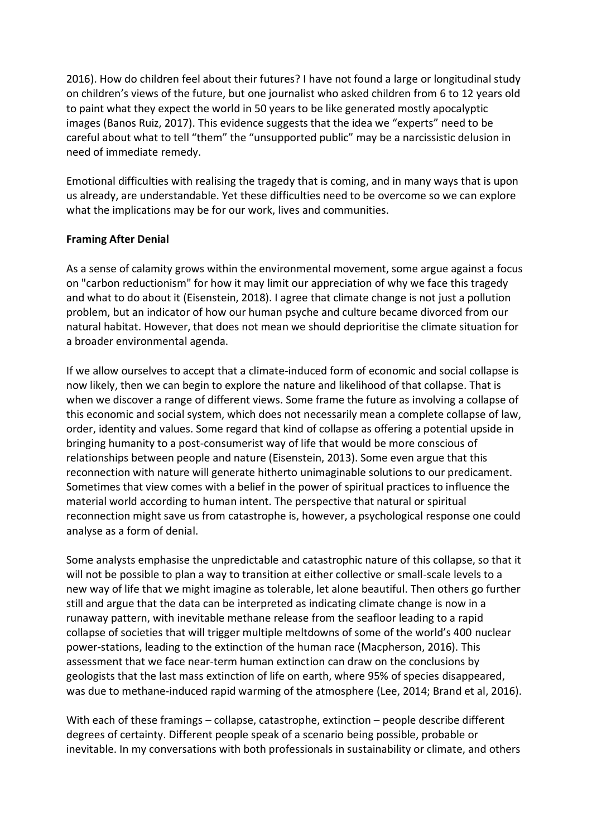2016). How do children feel about their futures? I have not found a large or longitudinal study on children's views of the future, but one journalist who asked children from 6 to 12 years old to paint what they expect the world in 50 years to be like generated mostly apocalyptic images (Banos Ruiz, 2017). This evidence suggests that the idea we "experts" need to be careful about what to tell "them" the "unsupported public" may be a narcissistic delusion in need of immediate remedy.

Emotional difficulties with realising the tragedy that is coming, and in many ways that is upon us already, are understandable. Yet these difficulties need to be overcome so we can explore what the implications may be for our work, lives and communities.

# **Framing After Denial**

As a sense of calamity grows within the environmental movement, some argue against a focus on "carbon reductionism" for how it may limit our appreciation of why we face this tragedy and what to do about it (Eisenstein, 2018). I agree that climate change is not just a pollution problem, but an indicator of how our human psyche and culture became divorced from our natural habitat. However, that does not mean we should deprioritise the climate situation for a broader environmental agenda.

If we allow ourselves to accept that a climate-induced form of economic and social collapse is now likely, then we can begin to explore the nature and likelihood of that collapse. That is when we discover a range of different views. Some frame the future as involving a collapse of this economic and social system, which does not necessarily mean a complete collapse of law, order, identity and values. Some regard that kind of collapse as offering a potential upside in bringing humanity to a post-consumerist way of life that would be more conscious of relationships between people and nature (Eisenstein, 2013). Some even argue that this reconnection with nature will generate hitherto unimaginable solutions to our predicament. Sometimes that view comes with a belief in the power of spiritual practices to influence the material world according to human intent. The perspective that natural or spiritual reconnection might save us from catastrophe is, however, a psychological response one could analyse as a form of denial.

Some analysts emphasise the unpredictable and catastrophic nature of this collapse, so that it will not be possible to plan a way to transition at either collective or small-scale levels to a new way of life that we might imagine as tolerable, let alone beautiful. Then others go further still and argue that the data can be interpreted as indicating climate change is now in a runaway pattern, with inevitable methane release from the seafloor leading to a rapid collapse of societies that will trigger multiple meltdowns of some of the world's 400 nuclear power-stations, leading to the extinction of the human race (Macpherson, 2016). This assessment that we face near-term human extinction can draw on the conclusions by geologists that the last mass extinction of life on earth, where 95% of species disappeared, was due to methane-induced rapid warming of the atmosphere (Lee, 2014; Brand et al, 2016).

With each of these framings – collapse, catastrophe, extinction – people describe different degrees of certainty. Different people speak of a scenario being possible, probable or inevitable. In my conversations with both professionals in sustainability or climate, and others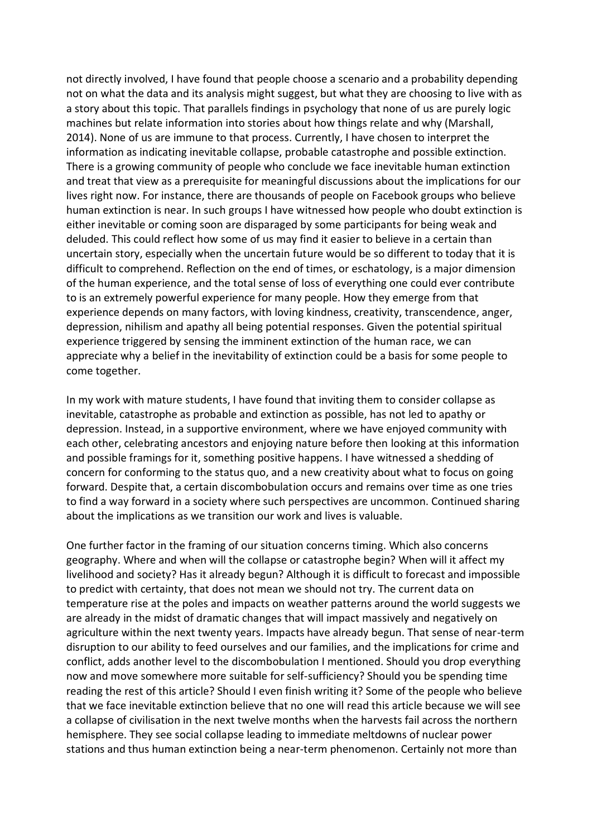not directly involved, I have found that people choose a scenario and a probability depending not on what the data and its analysis might suggest, but what they are choosing to live with as a story about this topic. That parallels findings in psychology that none of us are purely logic machines but relate information into stories about how things relate and why (Marshall, 2014). None of us are immune to that process. Currently, I have chosen to interpret the information as indicating inevitable collapse, probable catastrophe and possible extinction. There is a growing community of people who conclude we face inevitable human extinction and treat that view as a prerequisite for meaningful discussions about the implications for our lives right now. For instance, there are thousands of people on Facebook groups who believe human extinction is near. In such groups I have witnessed how people who doubt extinction is either inevitable or coming soon are disparaged by some participants for being weak and deluded. This could reflect how some of us may find it easier to believe in a certain than uncertain story, especially when the uncertain future would be so different to today that it is difficult to comprehend. Reflection on the end of times, or eschatology, is a major dimension of the human experience, and the total sense of loss of everything one could ever contribute to is an extremely powerful experience for many people. How they emerge from that experience depends on many factors, with loving kindness, creativity, transcendence, anger, depression, nihilism and apathy all being potential responses. Given the potential spiritual experience triggered by sensing the imminent extinction of the human race, we can appreciate why a belief in the inevitability of extinction could be a basis for some people to come together.

In my work with mature students, I have found that inviting them to consider collapse as inevitable, catastrophe as probable and extinction as possible, has not led to apathy or depression. Instead, in a supportive environment, where we have enjoyed community with each other, celebrating ancestors and enjoying nature before then looking at this information and possible framings for it, something positive happens. I have witnessed a shedding of concern for conforming to the status quo, and a new creativity about what to focus on going forward. Despite that, a certain discombobulation occurs and remains over time as one tries to find a way forward in a society where such perspectives are uncommon. Continued sharing about the implications as we transition our work and lives is valuable.

One further factor in the framing of our situation concerns timing. Which also concerns geography. Where and when will the collapse or catastrophe begin? When will it affect my livelihood and society? Has it already begun? Although it is difficult to forecast and impossible to predict with certainty, that does not mean we should not try. The current data on temperature rise at the poles and impacts on weather patterns around the world suggests we are already in the midst of dramatic changes that will impact massively and negatively on agriculture within the next twenty years. Impacts have already begun. That sense of near-term disruption to our ability to feed ourselves and our families, and the implications for crime and conflict, adds another level to the discombobulation I mentioned. Should you drop everything now and move somewhere more suitable for self-sufficiency? Should you be spending time reading the rest of this article? Should I even finish writing it? Some of the people who believe that we face inevitable extinction believe that no one will read this article because we will see a collapse of civilisation in the next twelve months when the harvests fail across the northern hemisphere. They see social collapse leading to immediate meltdowns of nuclear power stations and thus human extinction being a near-term phenomenon. Certainly not more than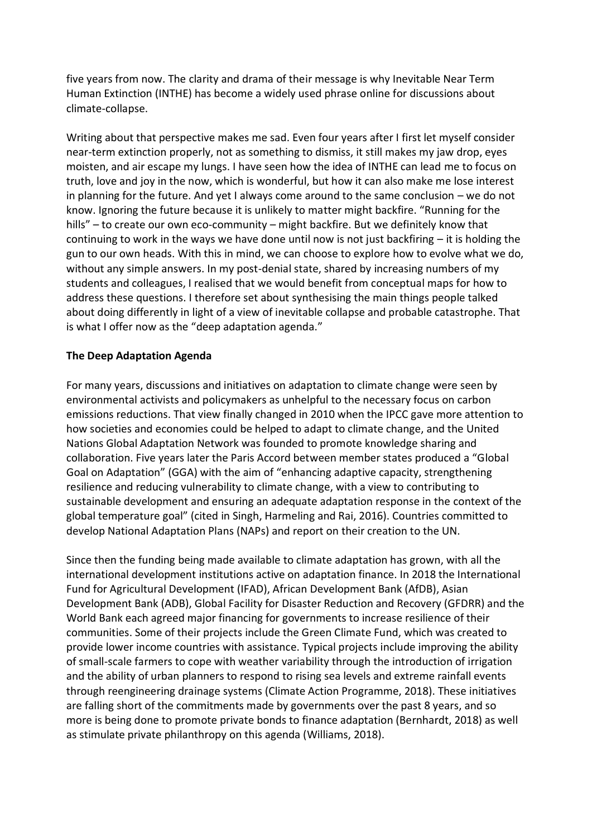five years from now. The clarity and drama of their message is why Inevitable Near Term Human Extinction (INTHE) has become a widely used phrase online for discussions about climate-collapse.

Writing about that perspective makes me sad. Even four years after I first let myself consider near-term extinction properly, not as something to dismiss, it still makes my jaw drop, eyes moisten, and air escape my lungs. I have seen how the idea of INTHE can lead me to focus on truth, love and joy in the now, which is wonderful, but how it can also make me lose interest in planning for the future. And yet I always come around to the same conclusion – we do not know. Ignoring the future because it is unlikely to matter might backfire. "Running for the hills" – to create our own eco-community – might backfire. But we definitely know that continuing to work in the ways we have done until now is not just backfiring – it is holding the gun to our own heads. With this in mind, we can choose to explore how to evolve what we do, without any simple answers. In my post-denial state, shared by increasing numbers of my students and colleagues, I realised that we would benefit from conceptual maps for how to address these questions. I therefore set about synthesising the main things people talked about doing differently in light of a view of inevitable collapse and probable catastrophe. That is what I offer now as the "deep adaptation agenda."

#### **The Deep Adaptation Agenda**

For many years, discussions and initiatives on adaptation to climate change were seen by environmental activists and policymakers as unhelpful to the necessary focus on carbon emissions reductions. That view finally changed in 2010 when the IPCC gave more attention to how societies and economies could be helped to adapt to climate change, and the United Nations Global Adaptation Network was founded to promote knowledge sharing and collaboration. Five years later the Paris Accord between member states produced a "Global Goal on Adaptation" (GGA) with the aim of "enhancing adaptive capacity, strengthening resilience and reducing vulnerability to climate change, with a view to contributing to sustainable development and ensuring an adequate adaptation response in the context of the global temperature goal" (cited in Singh, Harmeling and Rai, 2016). Countries committed to develop National Adaptation Plans (NAPs) and report on their creation to the UN.

Since then the funding being made available to climate adaptation has grown, with all the international development institutions active on adaptation finance. In 2018 the International Fund for Agricultural Development (IFAD), African Development Bank (AfDB), Asian Development Bank (ADB), Global Facility for Disaster Reduction and Recovery (GFDRR) and the World Bank each agreed major financing for governments to increase resilience of their communities. Some of their projects include the Green Climate Fund, which was created to provide lower income countries with assistance. Typical projects include improving the ability of small-scale farmers to cope with weather variability through the introduction of irrigation and the ability of urban planners to respond to rising sea levels and extreme rainfall events through reengineering drainage systems (Climate Action Programme, 2018). These initiatives are falling short of the commitments made by governments over the past 8 years, and so more is being done to promote private bonds to finance adaptation (Bernhardt, 2018) as well as stimulate private philanthropy on this agenda (Williams, 2018).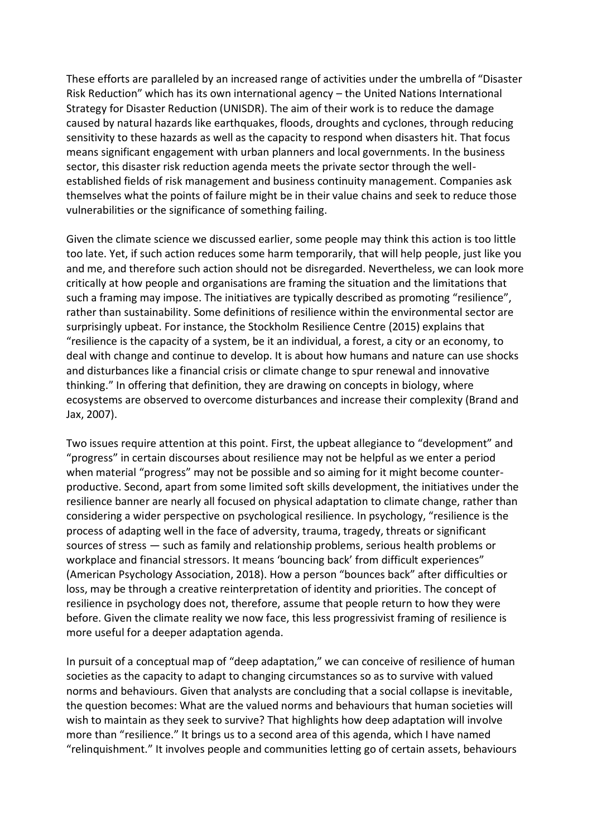These efforts are paralleled by an increased range of activities under the umbrella of "Disaster Risk Reduction" which has its own international agency – the United Nations International Strategy for Disaster Reduction (UNISDR). The aim of their work is to reduce the damage caused by natural hazards like earthquakes, floods, droughts and cyclones, through reducing sensitivity to these hazards as well as the capacity to respond when disasters hit. That focus means significant engagement with urban planners and local governments. In the business sector, this disaster risk reduction agenda meets the private sector through the wellestablished fields of risk management and business continuity management. Companies ask themselves what the points of failure might be in their value chains and seek to reduce those vulnerabilities or the significance of something failing.

Given the climate science we discussed earlier, some people may think this action is too little too late. Yet, if such action reduces some harm temporarily, that will help people, just like you and me, and therefore such action should not be disregarded. Nevertheless, we can look more critically at how people and organisations are framing the situation and the limitations that such a framing may impose. The initiatives are typically described as promoting "resilience", rather than sustainability. Some definitions of resilience within the environmental sector are surprisingly upbeat. For instance, the Stockholm Resilience Centre (2015) explains that "resilience is the capacity of a system, be it an individual, a forest, a city or an economy, to deal with change and continue to develop. It is about how humans and nature can use shocks and disturbances like a financial crisis or climate change to spur renewal and innovative thinking." In offering that definition, they are drawing on concepts in biology, where ecosystems are observed to overcome disturbances and increase their complexity (Brand and Jax, 2007).

Two issues require attention at this point. First, the upbeat allegiance to "development" and "progress" in certain discourses about resilience may not be helpful as we enter a period when material "progress" may not be possible and so aiming for it might become counterproductive. Second, apart from some limited soft skills development, the initiatives under the resilience banner are nearly all focused on physical adaptation to climate change, rather than considering a wider perspective on psychological resilience. In psychology, "resilience is the process of adapting well in the face of adversity, trauma, tragedy, threats or significant sources of stress — such as family and relationship problems, serious health problems or workplace and financial stressors. It means 'bouncing back' from difficult experiences" (American Psychology Association, 2018). How a person "bounces back" after difficulties or loss, may be through a creative reinterpretation of identity and priorities. The concept of resilience in psychology does not, therefore, assume that people return to how they were before. Given the climate reality we now face, this less progressivist framing of resilience is more useful for a deeper adaptation agenda.

In pursuit of a conceptual map of "deep adaptation," we can conceive of resilience of human societies as the capacity to adapt to changing circumstances so as to survive with valued norms and behaviours. Given that analysts are concluding that a social collapse is inevitable, the question becomes: What are the valued norms and behaviours that human societies will wish to maintain as they seek to survive? That highlights how deep adaptation will involve more than "resilience." It brings us to a second area of this agenda, which I have named "relinquishment." It involves people and communities letting go of certain assets, behaviours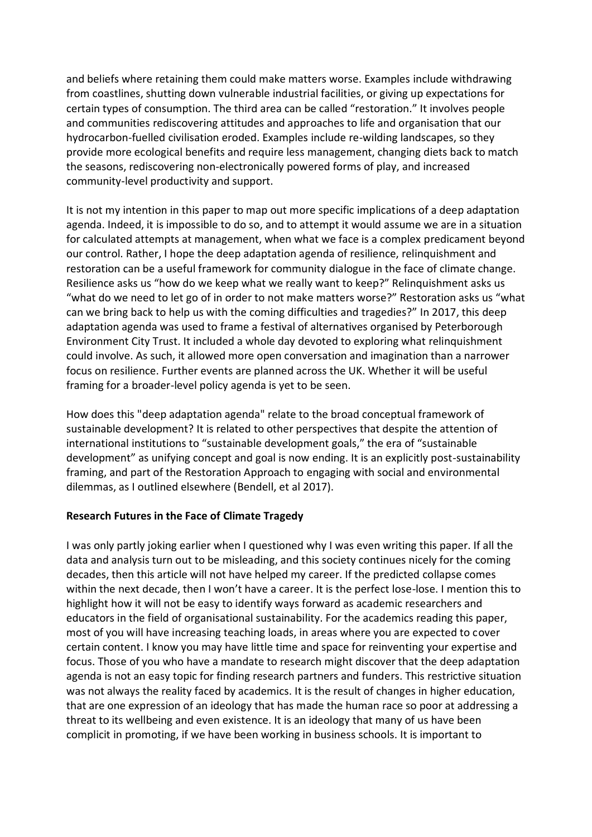and beliefs where retaining them could make matters worse. Examples include withdrawing from coastlines, shutting down vulnerable industrial facilities, or giving up expectations for certain types of consumption. The third area can be called "restoration." It involves people and communities rediscovering attitudes and approaches to life and organisation that our hydrocarbon-fuelled civilisation eroded. Examples include re-wilding landscapes, so they provide more ecological benefits and require less management, changing diets back to match the seasons, rediscovering non-electronically powered forms of play, and increased community-level productivity and support.

It is not my intention in this paper to map out more specific implications of a deep adaptation agenda. Indeed, it is impossible to do so, and to attempt it would assume we are in a situation for calculated attempts at management, when what we face is a complex predicament beyond our control. Rather, I hope the deep adaptation agenda of resilience, relinquishment and restoration can be a useful framework for community dialogue in the face of climate change. Resilience asks us "how do we keep what we really want to keep?" Relinquishment asks us "what do we need to let go of in order to not make matters worse?" Restoration asks us "what can we bring back to help us with the coming difficulties and tragedies?" In 2017, this deep adaptation agenda was used to frame a festival of alternatives organised by Peterborough Environment City Trust. It included a whole day devoted to exploring what relinquishment could involve. As such, it allowed more open conversation and imagination than a narrower focus on resilience. Further events are planned across the UK. Whether it will be useful framing for a broader-level policy agenda is yet to be seen.

How does this "deep adaptation agenda" relate to the broad conceptual framework of sustainable development? It is related to other perspectives that despite the attention of international institutions to "sustainable development goals," the era of "sustainable development" as unifying concept and goal is now ending. It is an explicitly post-sustainability framing, and part of the Restoration Approach to engaging with social and environmental dilemmas, as I outlined elsewhere (Bendell, et al 2017).

# **Research Futures in the Face of Climate Tragedy**

I was only partly joking earlier when I questioned why I was even writing this paper. If all the data and analysis turn out to be misleading, and this society continues nicely for the coming decades, then this article will not have helped my career. If the predicted collapse comes within the next decade, then I won't have a career. It is the perfect lose-lose. I mention this to highlight how it will not be easy to identify ways forward as academic researchers and educators in the field of organisational sustainability. For the academics reading this paper, most of you will have increasing teaching loads, in areas where you are expected to cover certain content. I know you may have little time and space for reinventing your expertise and focus. Those of you who have a mandate to research might discover that the deep adaptation agenda is not an easy topic for finding research partners and funders. This restrictive situation was not always the reality faced by academics. It is the result of changes in higher education, that are one expression of an ideology that has made the human race so poor at addressing a threat to its wellbeing and even existence. It is an ideology that many of us have been complicit in promoting, if we have been working in business schools. It is important to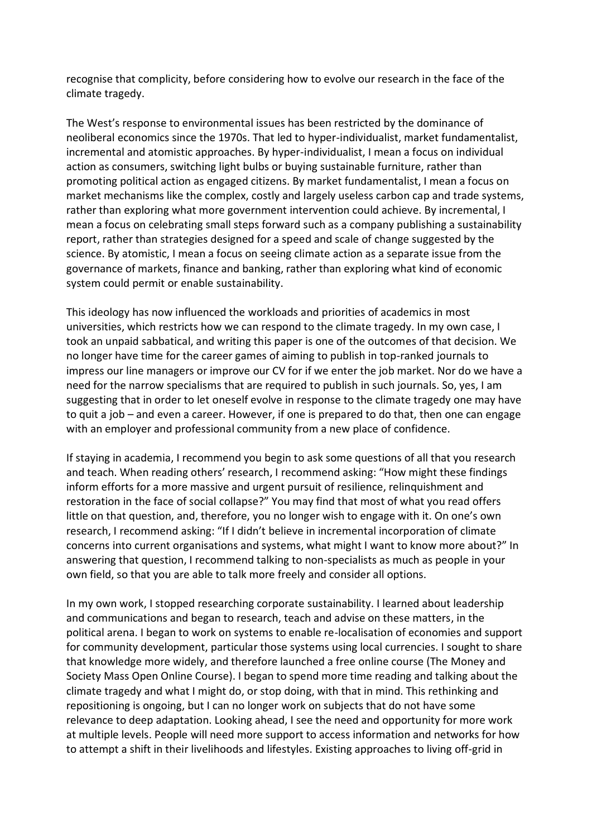recognise that complicity, before considering how to evolve our research in the face of the climate tragedy.

The West's response to environmental issues has been restricted by the dominance of neoliberal economics since the 1970s. That led to hyper-individualist, market fundamentalist, incremental and atomistic approaches. By hyper-individualist, I mean a focus on individual action as consumers, switching light bulbs or buying sustainable furniture, rather than promoting political action as engaged citizens. By market fundamentalist, I mean a focus on market mechanisms like the complex, costly and largely useless carbon cap and trade systems, rather than exploring what more government intervention could achieve. By incremental, I mean a focus on celebrating small steps forward such as a company publishing a sustainability report, rather than strategies designed for a speed and scale of change suggested by the science. By atomistic, I mean a focus on seeing climate action as a separate issue from the governance of markets, finance and banking, rather than exploring what kind of economic system could permit or enable sustainability.

This ideology has now influenced the workloads and priorities of academics in most universities, which restricts how we can respond to the climate tragedy. In my own case, I took an unpaid sabbatical, and writing this paper is one of the outcomes of that decision. We no longer have time for the career games of aiming to publish in top-ranked journals to impress our line managers or improve our CV for if we enter the job market. Nor do we have a need for the narrow specialisms that are required to publish in such journals. So, yes, I am suggesting that in order to let oneself evolve in response to the climate tragedy one may have to quit a job – and even a career. However, if one is prepared to do that, then one can engage with an employer and professional community from a new place of confidence.

If staying in academia, I recommend you begin to ask some questions of all that you research and teach. When reading others' research, I recommend asking: "How might these findings inform efforts for a more massive and urgent pursuit of resilience, relinquishment and restoration in the face of social collapse?" You may find that most of what you read offers little on that question, and, therefore, you no longer wish to engage with it. On one's own research, I recommend asking: "If I didn't believe in incremental incorporation of climate concerns into current organisations and systems, what might I want to know more about?" In answering that question, I recommend talking to non-specialists as much as people in your own field, so that you are able to talk more freely and consider all options.

In my own work, I stopped researching corporate sustainability. I learned about leadership and communications and began to research, teach and advise on these matters, in the political arena. I began to work on systems to enable re-localisation of economies and support for community development, particular those systems using local currencies. I sought to share that knowledge more widely, and therefore launched a free online course (The Money and Society Mass Open Online Course). I began to spend more time reading and talking about the climate tragedy and what I might do, or stop doing, with that in mind. This rethinking and repositioning is ongoing, but I can no longer work on subjects that do not have some relevance to deep adaptation. Looking ahead, I see the need and opportunity for more work at multiple levels. People will need more support to access information and networks for how to attempt a shift in their livelihoods and lifestyles. Existing approaches to living off-grid in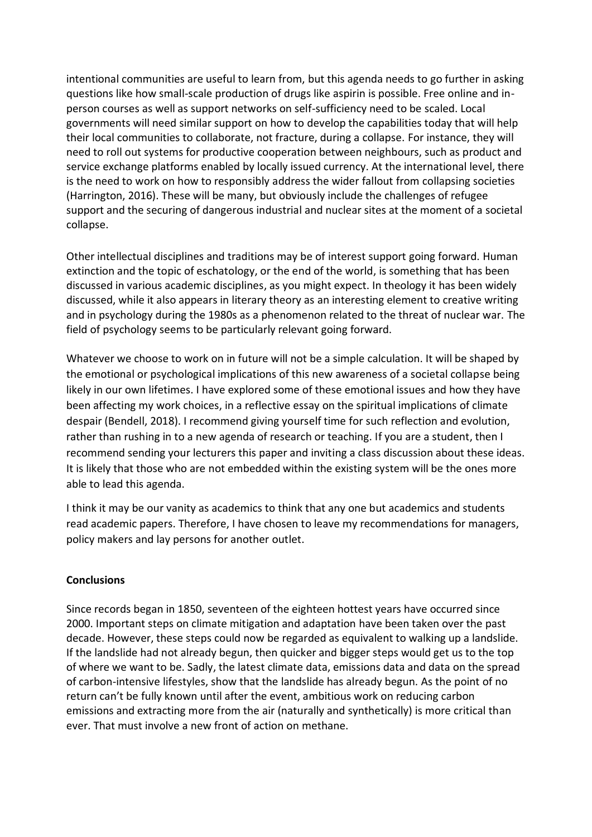intentional communities are useful to learn from, but this agenda needs to go further in asking questions like how small-scale production of drugs like aspirin is possible. Free online and inperson courses as well as support networks on self-sufficiency need to be scaled. Local governments will need similar support on how to develop the capabilities today that will help their local communities to collaborate, not fracture, during a collapse. For instance, they will need to roll out systems for productive cooperation between neighbours, such as product and service exchange platforms enabled by locally issued currency. At the international level, there is the need to work on how to responsibly address the wider fallout from collapsing societies (Harrington, 2016). These will be many, but obviously include the challenges of refugee support and the securing of dangerous industrial and nuclear sites at the moment of a societal collapse.

Other intellectual disciplines and traditions may be of interest support going forward. Human extinction and the topic of eschatology, or the end of the world, is something that has been discussed in various academic disciplines, as you might expect. In theology it has been widely discussed, while it also appears in literary theory as an interesting element to creative writing and in psychology during the 1980s as a phenomenon related to the threat of nuclear war. The field of psychology seems to be particularly relevant going forward.

Whatever we choose to work on in future will not be a simple calculation. It will be shaped by the emotional or psychological implications of this new awareness of a societal collapse being likely in our own lifetimes. I have explored some of these emotional issues and how they have been affecting my work choices, in a reflective essay on the spiritual implications of climate despair (Bendell, 2018). I recommend giving yourself time for such reflection and evolution, rather than rushing in to a new agenda of research or teaching. If you are a student, then I recommend sending your lecturers this paper and inviting a class discussion about these ideas. It is likely that those who are not embedded within the existing system will be the ones more able to lead this agenda.

I think it may be our vanity as academics to think that any one but academics and students read academic papers. Therefore, I have chosen to leave my recommendations for managers, policy makers and lay persons for another outlet.

# **Conclusions**

Since records began in 1850, seventeen of the eighteen hottest years have occurred since 2000. Important steps on climate mitigation and adaptation have been taken over the past decade. However, these steps could now be regarded as equivalent to walking up a landslide. If the landslide had not already begun, then quicker and bigger steps would get us to the top of where we want to be. Sadly, the latest climate data, emissions data and data on the spread of carbon-intensive lifestyles, show that the landslide has already begun. As the point of no return can't be fully known until after the event, ambitious work on reducing carbon emissions and extracting more from the air (naturally and synthetically) is more critical than ever. That must involve a new front of action on methane.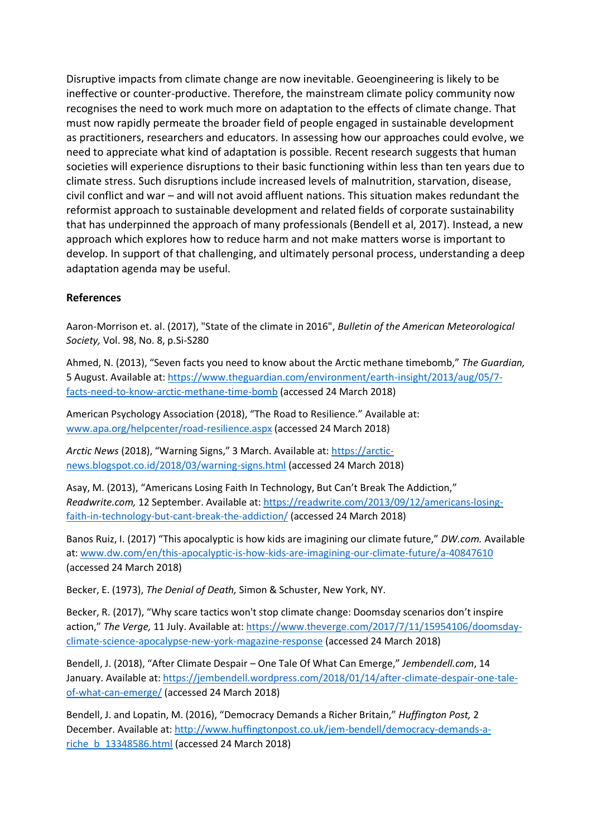Disruptive impacts from climate change are now inevitable. Geoengineering is likely to be ineffective or counter-productive. Therefore, the mainstream climate policy community now recognises the need to work much more on adaptation to the effects of climate change. That must now rapidly permeate the broader field of people engaged in sustainable development as practitioners, researchers and educators. In assessing how our approaches could evolve, we need to appreciate what kind of adaptation is possible. Recent research suggests that human societies will experience disruptions to their basic functioning within less than ten years due to climate stress. Such disruptions include increased levels of malnutrition, starvation, disease, civil conflict and war – and will not avoid affluent nations. This situation makes redundant the reformist approach to sustainable development and related fields of corporate sustainability that has underpinned the approach of many professionals (Bendell et al, 2017). Instead, a new approach which explores how to reduce harm and not make matters worse is important to develop. In support of that challenging, and ultimately personal process, understanding a deep adaptation agenda may be useful.

#### **References**

Aaron-Morrison et. al. (2017), "State of the climate in 2016", *Bulletin of the American Meteorological Society,* Vol. 98, No. 8, p.Si-S280

Ahmed, N. (2013), "Seven facts you need to know about the Arctic methane timebomb," *The Guardian,* 5 August. Available at[: https://www.theguardian.com/environment/earth-insight/2013/aug/05/7](https://www.theguardian.com/environment/earth-insight/2013/aug/05/7-facts-need-to-know-arctic-methane-time-bomb) [facts-need-to-know-arctic-methane-time-bomb](https://www.theguardian.com/environment/earth-insight/2013/aug/05/7-facts-need-to-know-arctic-methane-time-bomb) (accessed 24 March 2018)

American Psychology Association (2018), "The Road to Resilience." Available at: [www.apa.org/helpcenter/road-resilience.aspx](http://www.apa.org/helpcenter/road-resilience.aspx) (accessed 24 March 2018)

*Arctic News* (2018), "Warning Signs," 3 March. Available at: [https://arctic](https://arctic-news.blogspot.co.id/2018/03/warning-signs.html)[news.blogspot.co.id/2018/03/warning-signs.html](https://arctic-news.blogspot.co.id/2018/03/warning-signs.html) (accessed 24 March 2018)

Asay, M. (2013), "Americans Losing Faith In Technology, But Can't Break The Addiction," *Readwrite.com,* 12 September. Available at: [https://readwrite.com/2013/09/12/americans-losing](https://readwrite.com/2013/09/12/americans-losing-faith-in-technology-but-cant-break-the-addiction/)[faith-in-technology-but-cant-break-the-addiction/](https://readwrite.com/2013/09/12/americans-losing-faith-in-technology-but-cant-break-the-addiction/) (accessed 24 March 2018)

Banos Ruiz, I. (2017) "This apocalyptic is how kids are imagining our climate future," *DW.com.* Available at: [www.dw.com/en/this-apocalyptic-is-how-kids-are-imagining-our-climate-future/a-40847610](http://www.dw.com/en/this-apocalyptic-is-how-kids-are-imagining-our-climate-future/a-40847610) (accessed 24 March 2018)

Becker, E. (1973), *The Denial of Death,* Simon & Schuster, New York, NY.

Becker, R. (2017), "Why scare tactics won't stop climate change: Doomsday scenarios don't inspire action," *The Verge,* 11 July. Available at[: https://www.theverge.com/2017/7/11/15954106/doomsday](https://www.theverge.com/2017/7/11/15954106/doomsday-climate-science-apocalypse-new-york-magazine-response)[climate-science-apocalypse-new-york-magazine-response](https://www.theverge.com/2017/7/11/15954106/doomsday-climate-science-apocalypse-new-york-magazine-response) (accessed 24 March 2018)

Bendell, J. (2018), "After Climate Despair – One Tale Of What Can Emerge," *Jembendell.com*, 14 January. Available at: [https://jembendell.wordpress.com/2018/01/14/after-climate-despair-one-tale](https://jembendell.wordpress.com/2018/01/14/after-climate-despair-one-tale-of-what-can-emerge/)[of-what-can-emerge/](https://jembendell.wordpress.com/2018/01/14/after-climate-despair-one-tale-of-what-can-emerge/) (accessed 24 March 2018)

Bendell, J. and Lopatin, M. (2016), "Democracy Demands a Richer Britain," *Huffington Post,* 2 December. Available at: [http://www.huffingtonpost.co.uk/jem-bendell/democracy-demands-a](http://www.huffingtonpost.co.uk/jem-bendell/democracy-demands-a-riche_b_13348586.html)[riche\\_b\\_13348586.html](http://www.huffingtonpost.co.uk/jem-bendell/democracy-demands-a-riche_b_13348586.html) (accessed 24 March 2018)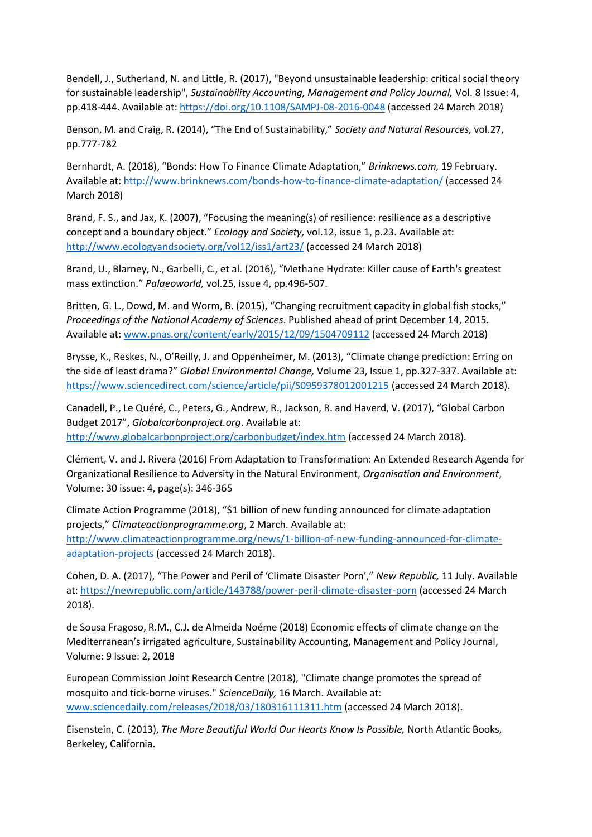Bendell, J., Sutherland, N. and Little, R. (2017), "Beyond unsustainable leadership: critical social theory for sustainable leadership", *Sustainability Accounting, Management and Policy Journal,* Vol. 8 Issue: 4, pp.418-444. Available at[: https://doi.org/10.1108/SAMPJ-08-2016-0048](https://doi.org/10.1108/SAMPJ-08-2016-0048) (accessed 24 March 2018)

Benson, M. and Craig, R. (2014), "The End of Sustainability," *Society and Natural Resources,* vol.27, pp.777-782

Bernhardt, A. (2018), "Bonds: How To Finance Climate Adaptation," *Brinknews.com,* 19 February. Available at:<http://www.brinknews.com/bonds-how-to-finance-climate-adaptation/> (accessed 24 March 2018)

Brand, F. S., and Jax, K. (2007), "Focusing the meaning(s) of resilience: resilience as a descriptive concept and a boundary object." *Ecology and Society,* vol.12, issue 1, p.23. Available at: <http://www.ecologyandsociety.org/vol12/iss1/art23/> (accessed 24 March 2018)

Brand, U., Blarney, N., Garbelli, C., et al. (2016), "Methane Hydrate: Killer cause of Earth's greatest mass extinction." *Palaeoworld,* vol.25, issue 4, pp.496-507.

Britten, G. L., Dowd, M. and Worm, B. (2015), "Changing recruitment capacity in global fish stocks," *Proceedings of the National Academy of Sciences*. Published ahead of print December 14, 2015. Available at: [www.pnas.org/content/early/2015/12/09/1504709112](http://www.pnas.org/content/early/2015/12/09/1504709112) (accessed 24 March 2018)

Brysse, K., Reskes, N., O'Reilly, J. and Oppenheimer, M. (2013), "Climate change prediction: Erring on the side of least drama?" *Global Environmental Change,* Volume 23, Issue 1, pp.327-337. Available at: <https://www.sciencedirect.com/science/article/pii/S0959378012001215> (accessed 24 March 2018).

Canadell, P., Le Quéré, C., Peters, G., Andrew, R., Jackson, R. and Haverd, V. (2017), "Global Carbon Budget 2017", *Globalcarbonproject.org*. Available at: <http://www.globalcarbonproject.org/carbonbudget/index.htm> (accessed 24 March 2018).

Clément, V. and J. Rivera (2016) From Adaptation to Transformation: An Extended Research Agenda for Organizational Resilience to Adversity in the Natural Environment, *Organisation and Environment*, Volume: 30 issue: 4, page(s): 346-365

Climate Action Programme (2018), "\$1 billion of new funding announced for climate adaptation projects," *Climateactionprogramme.org*, 2 March. Available at: [http://www.climateactionprogramme.org/news/1-billion-of-new-funding-announced-for-climate](http://www.climateactionprogramme.org/news/1-billion-of-new-funding-announced-for-climate-adaptation-projects)[adaptation-projects](http://www.climateactionprogramme.org/news/1-billion-of-new-funding-announced-for-climate-adaptation-projects) (accessed 24 March 2018).

Cohen, D. A. (2017), "The Power and Peril of 'Climate Disaster Porn'," *New Republic,* 11 July. Available at:<https://newrepublic.com/article/143788/power-peril-climate-disaster-porn> (accessed 24 March 2018).

de Sousa Fragoso, R.M., C.J. de Almeida Noéme (2018) Economic effects of climate change on the Mediterranean's irrigated agriculture, Sustainability Accounting, Management and Policy Journal, Volume: 9 Issue: 2, 2018

European Commission Joint Research Centre (2018), "Climate change promotes the spread of mosquito and tick-borne viruses." *ScienceDaily,* 16 March. Available at: [www.sciencedaily.com/releases/2018/03/180316111311.htm](http://www.sciencedaily.com/releases/2018/03/180316111311.htm) (accessed 24 March 2018).

Eisenstein, C. (2013), *The More Beautiful World Our Hearts Know Is Possible,* North Atlantic Books, Berkeley, California.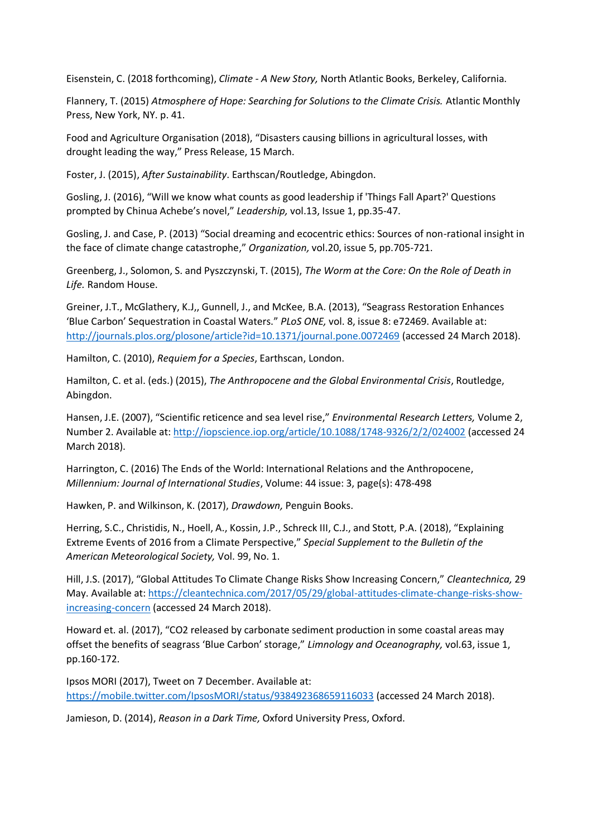Eisenstein, C. (2018 forthcoming), *Climate - A New Story,* North Atlantic Books, Berkeley, California.

Flannery, T. (2015) *Atmosphere of Hope: Searching for Solutions to the Climate Crisis.* Atlantic Monthly Press, New York, NY. p. 41.

Food and Agriculture Organisation (2018), "Disasters causing billions in agricultural losses, with drought leading the way," Press Release, 15 March.

Foster, J. (2015), *After Sustainability*. Earthscan/Routledge, Abingdon.

Gosling, J. (2016), "Will we know what counts as good leadership if 'Things Fall Apart?' Questions prompted by Chinua Achebe's novel," *Leadership,* vol.13, Issue 1, pp.35-47.

Gosling, J. and Case, P. (2013) "Social dreaming and ecocentric ethics: Sources of non-rational insight in the face of climate change catastrophe," *Organization,* vol.20, issue 5, pp.705-721.

Greenberg, J., Solomon, S. and Pyszczynski, T. (2015), *The Worm at the Core: On the Role of Death in Life.* Random House.

Greiner, J.T., McGlathery, K.J,, Gunnell, J., and McKee, B.A. (2013), "Seagrass Restoration Enhances 'Blue Carbon' Sequestration in Coastal Waters." *PLoS ONE,* vol. 8, issue 8: e72469. Available at: <http://journals.plos.org/plosone/article?id=10.1371/journal.pone.0072469> (accessed 24 March 2018).

Hamilton, C. (2010), *Requiem for a Species*, Earthscan, London.

Hamilton, C. et al. (eds.) (2015), *The Anthropocene and the Global Environmental Crisis*, Routledge, Abingdon.

Hansen, J.E. (2007), "Scientific reticence and sea level rise," *Environmental Research Letters,* Volume 2, Number 2. Available at:<http://iopscience.iop.org/article/10.1088/1748-9326/2/2/024002> (accessed 24 March 2018).

Harrington, C. (2016) The Ends of the World: International Relations and the Anthropocene, *Millennium: Journal of International Studies*, Volume: 44 issue: 3, page(s): 478-498

Hawken, P. and Wilkinson, K. (2017), *Drawdown,* Penguin Books.

Herring, S.C., Christidis, N., Hoell, A., Kossin, J.P., Schreck III, C.J., and Stott, P.A. (2018), "Explaining Extreme Events of 2016 from a Climate Perspective," *Special Supplement to the Bulletin of the American Meteorological Society,* Vol. 99, No. 1.

Hill, J.S. (2017), "Global Attitudes To Climate Change Risks Show Increasing Concern," *Cleantechnica,* 29 May. Available at: [https://cleantechnica.com/2017/05/29/global-attitudes-climate-change-risks-show](https://cleantechnica.com/2017/05/29/global-attitudes-climate-change-risks-show-increasing-concern)[increasing-concern](https://cleantechnica.com/2017/05/29/global-attitudes-climate-change-risks-show-increasing-concern) (accessed 24 March 2018).

Howard et. al. (2017), "CO2 released by carbonate sediment production in some coastal areas may offset the benefits of seagrass 'Blue Carbon' storage," *Limnology and Oceanography,* vol.63, issue 1, pp.160-172.

Ipsos MORI (2017), Tweet on 7 December. Available at: <https://mobile.twitter.com/IpsosMORI/status/938492368659116033> (accessed 24 March 2018).

Jamieson, D. (2014), *Reason in a Dark Time,* Oxford University Press, Oxford.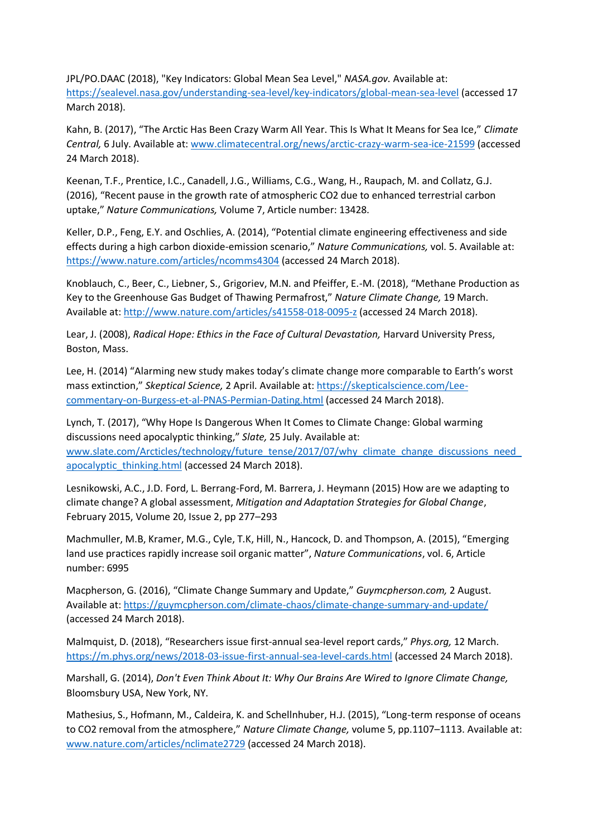JPL/PO.DAAC (2018), "Key Indicators: Global Mean Sea Level," *NASA.gov.* Available at: <https://sealevel.nasa.gov/understanding-sea-level/key-indicators/global-mean-sea-level> (accessed 17 March 2018).

Kahn, B. (2017), "The Arctic Has Been Crazy Warm All Year. This Is What It Means for Sea Ice," *Climate Central,* 6 July. Available at: [www.climatecentral.org/news/arctic-crazy-warm-sea-ice-21599](http://www.climatecentral.org/news/arctic-crazy-warm-sea-ice-21599) (accessed 24 March 2018).

Keenan, T.F., Prentice, I.C., Canadell, J.G., Williams, C.G., Wang, H., Raupach, M. and Collatz, G.J. (2016), "Recent pause in the growth rate of atmospheric CO2 due to enhanced terrestrial carbon uptake," *Nature Communications,* Volume 7, Article number: 13428.

Keller, D.P., Feng, E.Y. and Oschlies, A. (2014), "Potential climate engineering effectiveness and side effects during a high carbon dioxide-emission scenario," *Nature Communications,* vol. 5. Available at: <https://www.nature.com/articles/ncomms4304> (accessed 24 March 2018).

Knoblauch, C., Beer, C., Liebner, S., Grigoriev, M.N. and Pfeiffer, E.-M. (2018), "Methane Production as Key to the Greenhouse Gas Budget of Thawing Permafrost," *Nature Climate Change,* 19 March. Available at:<http://www.nature.com/articles/s41558-018-0095-z> (accessed 24 March 2018).

Lear, J. (2008), *Radical Hope: Ethics in the Face of Cultural Devastation,* Harvard University Press, Boston, Mass.

Lee, H. (2014) "Alarming new study makes today's climate change more comparable to Earth's worst mass extinction," *Skeptical Science,* 2 April. Available at[: https://skepticalscience.com/Lee](https://skepticalscience.com/Lee-commentary-on-Burgess-et-al-PNAS-Permian-Dating.html)[commentary-on-Burgess-et-al-PNAS-Permian-Dating.html](https://skepticalscience.com/Lee-commentary-on-Burgess-et-al-PNAS-Permian-Dating.html) (accessed 24 March 2018).

Lynch, T. (2017), "Why Hope Is Dangerous When It Comes to Climate Change: Global warming discussions need apocalyptic thinking," *Slate,* 25 July. Available at: www.slate.com/Arcticles/technology/future\_tense/2017/07/why\_climate\_change\_discussions\_need [apocalyptic\\_thinking.html](http://www.slate.com/Arcticles/technology/future_tense/2017/07/why_climate_change_discussions_need_apocalyptic_thinking.html) (accessed 24 March 2018).

Lesnikowski, A.C., J.D. Ford, L. Berrang-Ford, M. Barrera, J. Heymann (2015) How are we adapting to climate change? A global assessment, *Mitigation and Adaptation Strategies for Global Change*, February 2015, Volume 20, Issue 2, pp 277–293

Machmuller, M.B, Kramer, M.G., Cyle, T.K, Hill, N., Hancock, D. and Thompson, A. (2015), "Emerging land use practices rapidly increase soil organic matter", *Nature Communications*, vol. 6, Article number: 6995

Macpherson, G. (2016), "Climate Change Summary and Update," *Guymcpherson.com,* 2 August. Available at:<https://guymcpherson.com/climate-chaos/climate-change-summary-and-update/> (accessed 24 March 2018).

Malmquist, D. (2018), "Researchers issue first-annual sea-level report cards," *Phys.org,* 12 March. <https://m.phys.org/news/2018-03-issue-first-annual-sea-level-cards.html> (accessed 24 March 2018).

Marshall, G. (2014), *Don't Even Think About It: Why Our Brains Are Wired to Ignore Climate Change,* Bloomsbury USA, New York, NY.

Mathesius, S., Hofmann, M., Caldeira, K. and Schellnhuber, H.J. (2015), "Long-term response of oceans to CO2 removal from the atmosphere," *Nature Climate Change,* volume 5, pp.1107–1113. Available at: [www.nature.com/articles/nclimate2729](http://www.nature.com/articles/nclimate2729) (accessed 24 March 2018).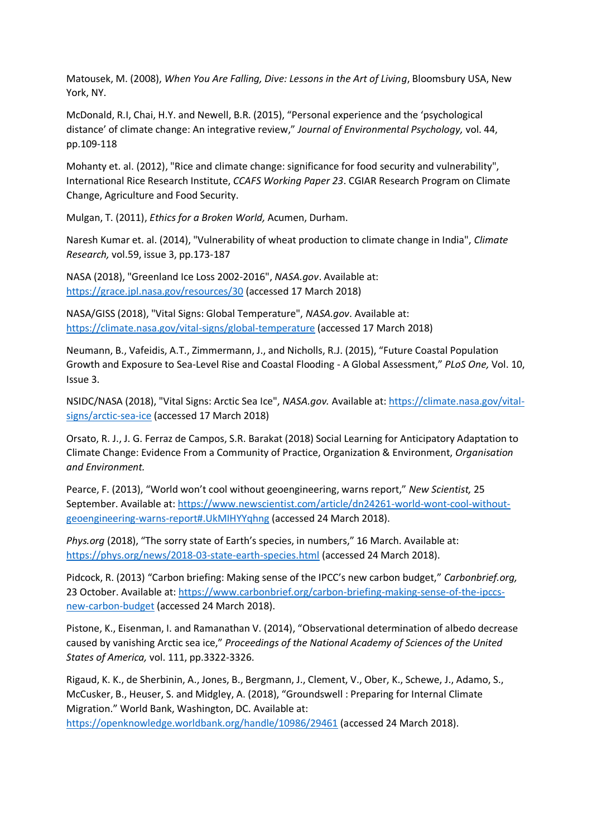Matousek, M. (2008), *When You Are Falling, Dive: Lessons in the Art of Living*, Bloomsbury USA, New York, NY.

McDonald, R.I, Chai, H.Y. and Newell, B.R. (2015), "Personal experience and the 'psychological distance' of climate change: An integrative review," *Journal of Environmental Psychology,* vol. 44, pp.109-118

Mohanty et. al. (2012), "Rice and climate change: significance for food security and vulnerability", International Rice Research Institute, *CCAFS Working Paper 23*. CGIAR Research Program on Climate Change, Agriculture and Food Security.

Mulgan, T. (2011), *Ethics for a Broken World,* Acumen, Durham.

Naresh Kumar et. al. (2014), "Vulnerability of wheat production to climate change in India", *Climate Research,* vol.59, issue 3, pp.173-187

NASA (2018), "Greenland Ice Loss 2002-2016", *NASA.gov*. Available at: <https://grace.jpl.nasa.gov/resources/30> (accessed 17 March 2018)

NASA/GISS (2018), "Vital Signs: Global Temperature", *NASA.gov*. Available at: <https://climate.nasa.gov/vital-signs/global-temperature> (accessed 17 March 2018)

Neumann, B., Vafeidis, A.T., Zimmermann, J., and Nicholls, R.J. (2015), "Future Coastal Population Growth and Exposure to Sea-Level Rise and Coastal Flooding - A Global Assessment," *PLoS One,* Vol. 10, Issue 3.

NSIDC/NASA (2018), "Vital Signs: Arctic Sea Ice", *NASA.gov.* Available at: [https://climate.nasa.gov/vital](https://climate.nasa.gov/vital-signs/arctic-sea-ice)[signs/arctic-sea-ice](https://climate.nasa.gov/vital-signs/arctic-sea-ice) (accessed 17 March 2018)

Orsato, R. J., J. G. Ferraz de Campos, S.R. Barakat (2018) Social Learning for Anticipatory Adaptation to Climate Change: Evidence From a Community of Practice, Organization & Environment, *Organisation and Environment.* 

Pearce, F. (2013), "World won't cool without geoengineering, warns report," *New Scientist,* 25 September. Available at: [https://www.newscientist.com/article/dn24261-world-wont-cool-without](https://www.newscientist.com/article/dn24261-world-wont-cool-without-geoengineering-warns-report#.UkMIHYYqhng)[geoengineering-warns-report#.UkMIHYYqhng](https://www.newscientist.com/article/dn24261-world-wont-cool-without-geoengineering-warns-report#.UkMIHYYqhng) (accessed 24 March 2018).

*Phys.org* (2018), "The sorry state of Earth's species, in numbers," 16 March. Available at: <https://phys.org/news/2018-03-state-earth-species.html> (accessed 24 March 2018).

Pidcock, R. (2013) "Carbon briefing: Making sense of the IPCC's new carbon budget," *Carbonbrief.org,* 23 October. Available at[: https://www.carbonbrief.org/carbon-briefing-making-sense-of-the-ipccs](https://www.carbonbrief.org/carbon-briefing-making-sense-of-the-ipccs-new-carbon-budget)[new-carbon-budget](https://www.carbonbrief.org/carbon-briefing-making-sense-of-the-ipccs-new-carbon-budget) (accessed 24 March 2018).

Pistone, K., Eisenman, I. and Ramanathan V. (2014), "Observational determination of albedo decrease caused by vanishing Arctic sea ice," *Proceedings of the National Academy of Sciences of the United States of America,* vol. 111, pp.3322-3326.

Rigaud, K. K., de Sherbinin, A., Jones, B., Bergmann, J., Clement, V., Ober, K., Schewe, J., Adamo, S., McCusker, B., Heuser, S. and Midgley, A. (2018), "Groundswell : Preparing for Internal Climate Migration." World Bank, Washington, DC. Available at:

<https://openknowledge.worldbank.org/handle/10986/29461> (accessed 24 March 2018).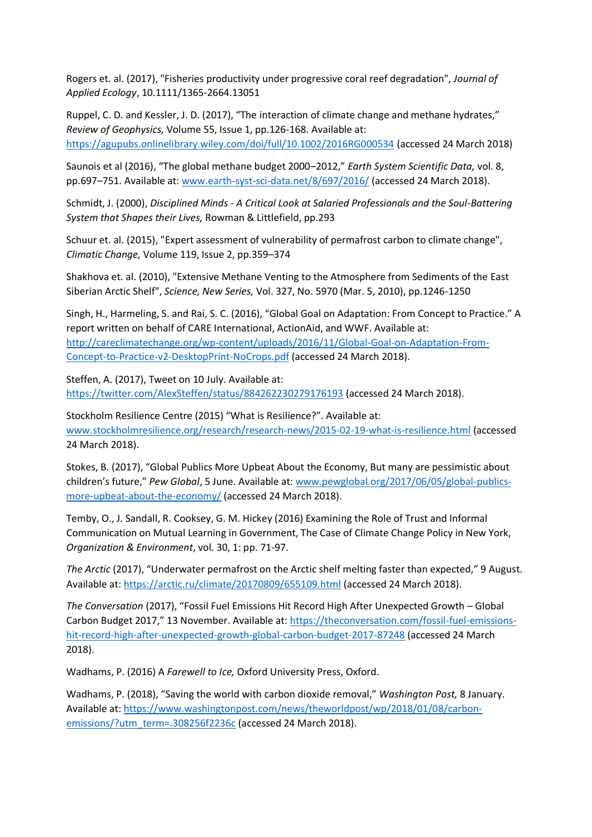Rogers et. al. (2017), "Fisheries productivity under progressive coral reef degradation", *Journal of Applied Ecology*, 10.1111/1365-2664.13051

Ruppel, C. D. and Kessler, J. D. (2017), "The interaction of climate change and methane hydrates," *Review of Geophysics,* Volume 55, Issue 1, pp.126-168. Available at: <https://agupubs.onlinelibrary.wiley.com/doi/full/10.1002/2016RG000534> (accessed 24 March 2018)

Saunois et al (2016), "The global methane budget 2000–2012," *Earth System Scientific Data,* vol. 8, pp.697–751. Available at: [www.earth-syst-sci-data.net/8/697/2016/](http://www.earth-syst-sci-data.net/8/697/2016/) (accessed 24 March 2018).

Schmidt, J. (2000), *Disciplined Minds - A Critical Look at Salaried Professionals and the Soul-Battering System that Shapes their Lives,* Rowman & Littlefield, pp.293

Schuur et. al. (2015), "Expert assessment of vulnerability of permafrost carbon to climate change", *Climatic Change,* Volume 119, Issue 2, pp.359–374

Shakhova et. al. (2010), "Extensive Methane Venting to the Atmosphere from Sediments of the East Siberian Arctic Shelf", *Science, New Series,* Vol. 327, No. 5970 (Mar. 5, 2010), pp.1246-1250

Singh, H., Harmeling, S. and Rai, S. C. (2016), "Global Goal on Adaptation: From Concept to Practice." A report written on behalf of CARE International, ActionAid, and WWF. Available at: [http://careclimatechange.org/wp-content/uploads/2016/11/Global-Goal-on-Adaptation-From-](http://careclimatechange.org/wp-content/uploads/2016/11/Global-Goal-on-Adaptation-From-Concept-to-Practice-v2-DesktopPrint-NoCrops.pdf)[Concept-to-Practice-v2-DesktopPrint-NoCrops.pdf](http://careclimatechange.org/wp-content/uploads/2016/11/Global-Goal-on-Adaptation-From-Concept-to-Practice-v2-DesktopPrint-NoCrops.pdf) (accessed 24 March 2018).

Steffen, A. (2017), Tweet on 10 July. Available at: <https://twitter.com/AlexSteffen/status/884262230279176193> (accessed 24 March 2018).

Stockholm Resilience Centre (2015) "What is Resilience?". Available at: [www.stockholmresilience.org/research/research-news/2015-02-19-what-is-resilience.html](http://www.stockholmresilience.org/research/research-news/2015-02-19-what-is-resilience.html) (accessed 24 March 2018).

Stokes, B. (2017), "Global Publics More Upbeat About the Economy, But many are pessimistic about children's future," *Pew Global*, 5 June. Available at: [www.pewglobal.org/2017/06/05/global-publics](http://www.pewglobal.org/2017/06/05/global-publics-more-upbeat-about-the-economy/)[more-upbeat-about-the-economy/](http://www.pewglobal.org/2017/06/05/global-publics-more-upbeat-about-the-economy/) (accessed 24 March 2018).

Temby, O., J. Sandall, R. Cooksey, G. M. Hickey (2016) Examining the Role of Trust and Informal Communication on Mutual Learning in Government, The Case of Climate Change Policy in New York, *Organization & Environment*, vol. 30, 1: pp. 71-97.

*The Arctic* (2017), "Underwater permafrost on the Arctic shelf melting faster than expected," 9 August. Available at:<https://arctic.ru/climate/20170809/655109.html> (accessed 24 March 2018).

*The Conversation* (2017), "Fossil Fuel Emissions Hit Record High After Unexpected Growth – Global Carbon Budget 2017," 13 November. Available at: [https://theconversation.com/fossil-fuel-emissions](https://theconversation.com/fossil-fuel-emissions-hit-record-high-after-unexpected-growth-global-carbon-budget-2017-87248)[hit-record-high-after-unexpected-growth-global-carbon-budget-2017-87248](https://theconversation.com/fossil-fuel-emissions-hit-record-high-after-unexpected-growth-global-carbon-budget-2017-87248) (accessed 24 March 2018).

Wadhams, P. (2016) A *Farewell to Ice,* Oxford University Press, Oxford.

Wadhams, P. (2018), "Saving the world with carbon dioxide removal," *Washington Post,* 8 January. Available at: [https://www.washingtonpost.com/news/theworldpost/wp/2018/01/08/carbon](https://www.washingtonpost.com/news/theworldpost/wp/2018/01/08/carbon-emissions/?utm_term=.308256f2236c)[emissions/?utm\\_term=.308256f2236c](https://www.washingtonpost.com/news/theworldpost/wp/2018/01/08/carbon-emissions/?utm_term=.308256f2236c) (accessed 24 March 2018).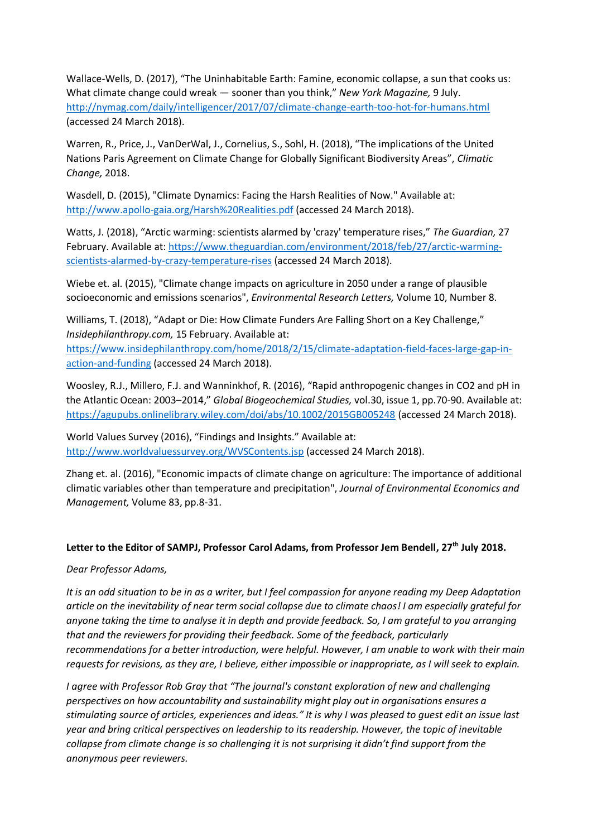Wallace-Wells, D. (2017), "The Uninhabitable Earth: Famine, economic collapse, a sun that cooks us: What climate change could wreak — sooner than you think," *New York Magazine,* 9 July. <http://nymag.com/daily/intelligencer/2017/07/climate-change-earth-too-hot-for-humans.html> (accessed 24 March 2018).

Warren, R., Price, J., VanDerWal, J., Cornelius, S., Sohl, H. (2018), "The implications of the United Nations Paris Agreement on Climate Change for Globally Significant Biodiversity Areas", *Climatic Change,* 2018.

Wasdell, D. (2015), "Climate Dynamics: Facing the Harsh Realities of Now." Available at: <http://www.apollo-gaia.org/Harsh%20Realities.pdf> (accessed 24 March 2018).

Watts, J. (2018), "Arctic warming: scientists alarmed by 'crazy' temperature rises," *The Guardian,* 27 February. Available at[: https://www.theguardian.com/environment/2018/feb/27/arctic-warming](https://www.theguardian.com/environment/2018/feb/27/arctic-warming-scientists-alarmed-by-crazy-temperature-rises)[scientists-alarmed-by-crazy-temperature-rises](https://www.theguardian.com/environment/2018/feb/27/arctic-warming-scientists-alarmed-by-crazy-temperature-rises) (accessed 24 March 2018).

Wiebe et. al. (2015), "Climate change impacts on agriculture in 2050 under a range of plausible socioeconomic and emissions scenarios", *Environmental Research Letters,* Volume 10, Number 8.

Williams, T. (2018), "Adapt or Die: How Climate Funders Are Falling Short on a Key Challenge," *Insidephilanthropy.com,* 15 February. Available at:

[https://www.insidephilanthropy.com/home/2018/2/15/climate-adaptation-field-faces-large-gap-in](https://www.insidephilanthropy.com/home/2018/2/15/climate-adaptation-field-faces-large-gap-in-action-and-funding)[action-and-funding](https://www.insidephilanthropy.com/home/2018/2/15/climate-adaptation-field-faces-large-gap-in-action-and-funding) (accessed 24 March 2018).

Woosley, R.J., Millero, F.J. and Wanninkhof, R. (2016), "Rapid anthropogenic changes in CO2 and pH in the Atlantic Ocean: 2003–2014," *Global Biogeochemical Studies,* vol.30, issue 1, pp.70-90. Available at: <https://agupubs.onlinelibrary.wiley.com/doi/abs/10.1002/2015GB005248> (accessed 24 March 2018).

World Values Survey (2016), "Findings and Insights." Available at: <http://www.worldvaluessurvey.org/WVSContents.jsp> (accessed 24 March 2018).

Zhang et. al. (2016), "Economic impacts of climate change on agriculture: The importance of additional climatic variables other than temperature and precipitation", *Journal of Environmental Economics and Management,* Volume 83, pp.8-31.

#### **Letter to the Editor of SAMPJ, Professor Carol Adams, from Professor Jem Bendell, 27th July 2018.**

#### *Dear Professor Adams,*

*It is an odd situation to be in as a writer, but I feel compassion for anyone reading my Deep Adaptation article on the inevitability of near term social collapse due to climate chaos! I am especially grateful for anyone taking the time to analyse it in depth and provide feedback. So, I am grateful to you arranging that and the reviewers for providing their feedback. Some of the feedback, particularly recommendations for a better introduction, were helpful. However, I am unable to work with their main requests for revisions, as they are, I believe, either impossible or inappropriate, as I will seek to explain.* 

*I agree with Professor Rob Gray that "The journal's constant exploration of new and challenging perspectives on how accountability and sustainability might play out in organisations ensures a stimulating source of articles, experiences and ideas." It is why I was pleased to guest edit an issue last year and bring critical perspectives on leadership to its readership. However, the topic of inevitable collapse from climate change is so challenging it is not surprising it didn't find support from the anonymous peer reviewers.*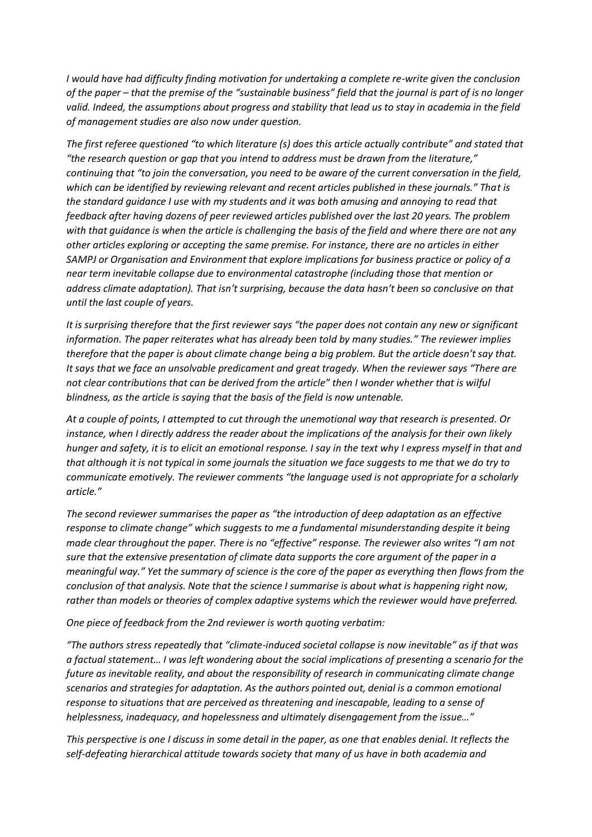*I would have had difficulty finding motivation for undertaking a complete re-write given the conclusion of the paper – that the premise of the "sustainable business" field that the journal is part of is no longer valid. Indeed, the assumptions about progress and stability that lead us to stay in academia in the field of management studies are also now under question.* 

*The first referee questioned "to which literature (s) does this article actually contribute" and stated that "the research question or gap that you intend to address must be drawn from the literature," continuing that "to join the conversation, you need to be aware of the current conversation in the field, which can be identified by reviewing relevant and recent articles published in these journals." That is the standard guidance I use with my students and it was both amusing and annoying to read that feedback after having dozens of peer reviewed articles published over the last 20 years. The problem with that guidance is when the article is challenging the basis of the field and where there are not any other articles exploring or accepting the same premise. For instance, there are no articles in either SAMPJ or Organisation and Environment that explore implications for business practice or policy of a near term inevitable collapse due to environmental catastrophe (including those that mention or address climate adaptation). That isn't surprising, because the data hasn't been so conclusive on that until the last couple of years.* 

*It is surprising therefore that the first reviewer says "the paper does not contain any new or significant information. The paper reiterates what has already been told by many studies." The reviewer implies therefore that the paper is about climate change being a big problem. But the article doesn't say that. It says that we face an unsolvable predicament and great tragedy. When the reviewer says "There are not clear contributions that can be derived from the article" then I wonder whether that is wilful blindness, as the article is saying that the basis of the field is now untenable.* 

*At a couple of points, I attempted to cut through the unemotional way that research is presented. Or instance, when I directly address the reader about the implications of the analysis for their own likely hunger and safety, it is to elicit an emotional response. I say in the text why I express myself in that and that although it is not typical in some journals the situation we face suggests to me that we do try to communicate emotively. The reviewer comments "the language used is not appropriate for a scholarly article."*

*The second reviewer summarises the paper as "the introduction of deep adaptation as an effective response to climate change" which suggests to me a fundamental misunderstanding despite it being made clear throughout the paper. There is no "effective" response. The reviewer also writes "I am not sure that the extensive presentation of climate data supports the core argument of the paper in a meaningful way." Yet the summary of science is the core of the paper as everything then flows from the conclusion of that analysis. Note that the science I summarise is about what is happening right now, rather than models or theories of complex adaptive systems which the reviewer would have preferred.* 

*One piece of feedback from the 2nd reviewer is worth quoting verbatim:*

*"The authors stress repeatedly that "climate-induced societal collapse is now inevitable" as if that was a factual statement… I was left wondering about the social implications of presenting a scenario for the future as inevitable reality, and about the responsibility of research in communicating climate change scenarios and strategies for adaptation. As the authors pointed out, denial is a common emotional response to situations that are perceived as threatening and inescapable, leading to a sense of helplessness, inadequacy, and hopelessness and ultimately disengagement from the issue…"* 

*This perspective is one I discuss in some detail in the paper, as one that enables denial. It reflects the self-defeating hierarchical attitude towards society that many of us have in both academia and*